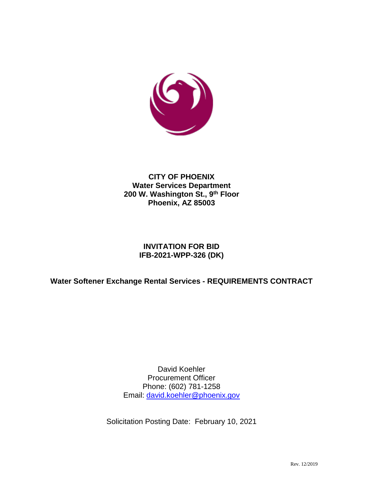

## **CITY OF PHOENIX Water Services Department 200 W. Washington St., 9th Floor Phoenix, AZ 85003**

## **INVITATION FOR BID IFB-2021-WPP-326 (DK)**

## **Water Softener Exchange Rental Services - REQUIREMENTS CONTRACT**

David Koehler Procurement Officer Phone: (602) 781-1258 Email: [david.koehler@phoenix.gov](mailto:david.koehler@phoenix.gov)

Solicitation Posting Date: February 10, 2021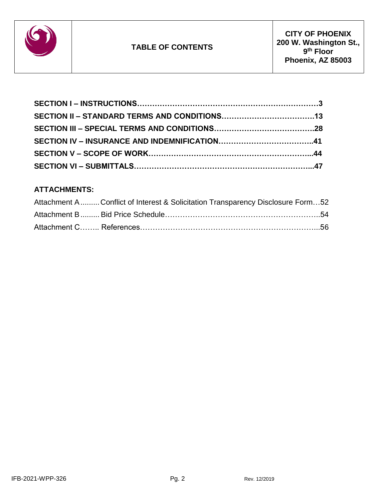

## **ATTACHMENTS:**

| Attachment A  Conflict of Interest & Solicitation Transparency Disclosure Form52 |  |
|----------------------------------------------------------------------------------|--|
|                                                                                  |  |
|                                                                                  |  |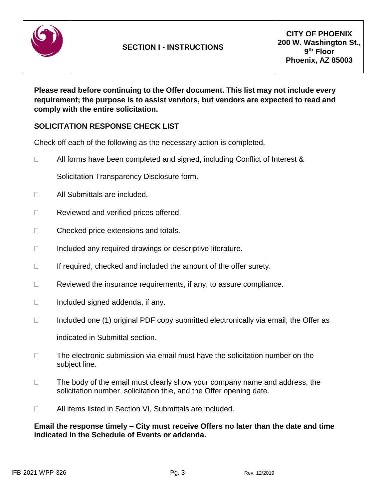

**Please read before continuing to the Offer document. This list may not include every requirement; the purpose is to assist vendors, but vendors are expected to read and comply with the entire solicitation.**

## **SOLICITATION RESPONSE CHECK LIST**

Check off each of the following as the necessary action is completed.

 $\Box$  All forms have been completed and signed, including Conflict of Interest &

Solicitation Transparency Disclosure form.

- □ All Submittals are included.
- □ Reviewed and verified prices offered.
- □ Checked price extensions and totals.
- $\Box$  Included any required drawings or descriptive literature.
- $\Box$  If required, checked and included the amount of the offer surety.
- $\Box$  Reviewed the insurance requirements, if any, to assure compliance.
- $\Box$  Included signed addenda, if any.
- $\Box$  Included one (1) original PDF copy submitted electronically via email; the Offer as indicated in Submittal section.
- $\Box$  The electronic submission via email must have the solicitation number on the subject line.
- $\Box$  The body of the email must clearly show your company name and address, the solicitation number, solicitation title, and the Offer opening date.
- □ All items listed in Section VI, Submittals are included.

#### **Email the response timely – City must receive Offers no later than the date and time indicated in the Schedule of Events or addenda.**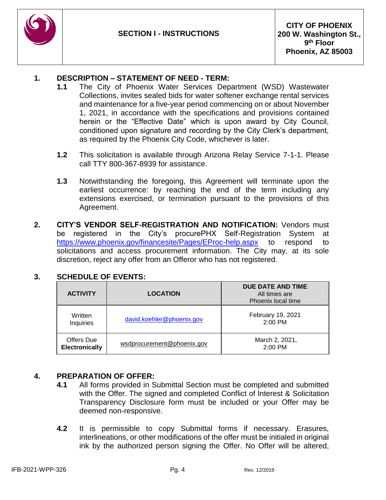

#### **1. DESCRIPTION – STATEMENT OF NEED - TERM:**

- **1.1** The City of Phoenix Water Services Department (WSD) Wastewater Collections, invites sealed bids for water softener exchange rental services and maintenance for a five-year period commencing on or about November 1, 2021, in accordance with the specifications and provisions contained herein or the "Effective Date" which is upon award by City Council, conditioned upon signature and recording by the City Clerk's department, as required by the Phoenix City Code, whichever is later.
- **1.2** This solicitation is available through Arizona Relay Service 7-1-1. Please call TTY 800-367-8939 for assistance.
- **1.3** Notwithstanding the foregoing, this Agreement will terminate upon the earliest occurrence: by reaching the end of the term including any extensions exercised, or termination pursuant to the provisions of this Agreement.
- **2. CITY'S VENDOR SELF-REGISTRATION AND NOTIFICATION:** Vendors must be registered in the City's procurePHX Self-Registration System at <https://www.phoenix.gov/financesite/Pages/EProc-help.aspx> to respond to solicitations and access procurement information. The City may, at its sole discretion, reject any offer from an Offeror who has not registered.

| <b>ACTIVITY</b>                     | <b>LOCATION</b>            | DUE DATE AND TIME<br>All times are<br>Phoenix local time |
|-------------------------------------|----------------------------|----------------------------------------------------------|
| Written<br>Inquiries                | david.koehler@phoenix.gov  | February 19, 2021<br>$2:00$ PM                           |
| Offers Due<br><b>Electronically</b> | wsdprocurement@phoenix.gov | March 2, 2021,<br>$2:00$ PM                              |

## **3. SCHEDULE OF EVENTS:**

#### **4. PREPARATION OF OFFER:**

- **4.1** All forms provided in Submittal Section must be completed and submitted with the Offer. The signed and completed Conflict of Interest & Solicitation Transparency Disclosure form must be included or your Offer may be deemed non-responsive.
- **4.2** It is permissible to copy Submittal forms if necessary. Erasures, interlineations, or other modifications of the offer must be initialed in original ink by the authorized person signing the Offer. No Offer will be altered,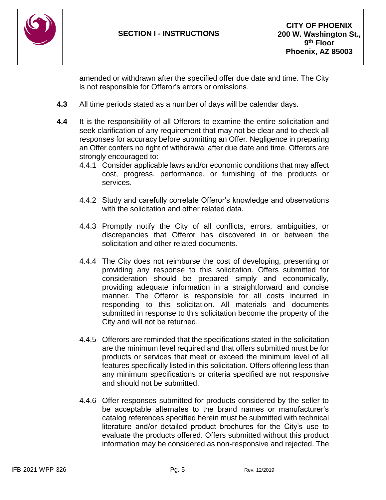

amended or withdrawn after the specified offer due date and time. The City is not responsible for Offeror's errors or omissions.

- **4.3** All time periods stated as a number of days will be calendar days.
- **4.4** It is the responsibility of all Offerors to examine the entire solicitation and seek clarification of any requirement that may not be clear and to check all responses for accuracy before submitting an Offer. Negligence in preparing an Offer confers no right of withdrawal after due date and time. Offerors are strongly encouraged to:
	- 4.4.1 Consider applicable laws and/or economic conditions that may affect cost, progress, performance, or furnishing of the products or services.
	- 4.4.2 Study and carefully correlate Offeror's knowledge and observations with the solicitation and other related data.
	- 4.4.3 Promptly notify the City of all conflicts, errors, ambiguities, or discrepancies that Offeror has discovered in or between the solicitation and other related documents.
	- 4.4.4 The City does not reimburse the cost of developing, presenting or providing any response to this solicitation. Offers submitted for consideration should be prepared simply and economically, providing adequate information in a straightforward and concise manner. The Offeror is responsible for all costs incurred in responding to this solicitation. All materials and documents submitted in response to this solicitation become the property of the City and will not be returned.
	- 4.4.5 Offerors are reminded that the specifications stated in the solicitation are the minimum level required and that offers submitted must be for products or services that meet or exceed the minimum level of all features specifically listed in this solicitation. Offers offering less than any minimum specifications or criteria specified are not responsive and should not be submitted.
	- 4.4.6 Offer responses submitted for products considered by the seller to be acceptable alternates to the brand names or manufacturer's catalog references specified herein must be submitted with technical literature and/or detailed product brochures for the City's use to evaluate the products offered. Offers submitted without this product information may be considered as non-responsive and rejected. The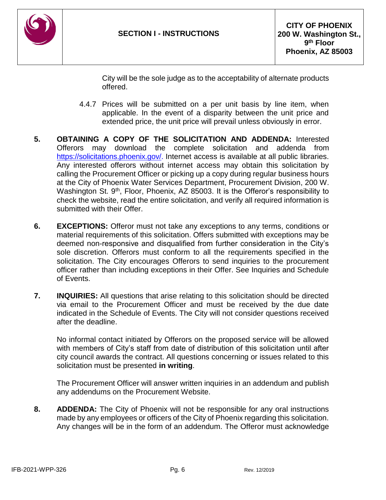

City will be the sole judge as to the acceptability of alternate products offered.

- 4.4.7 Prices will be submitted on a per unit basis by line item, when applicable. In the event of a disparity between the unit price and extended price, the unit price will prevail unless obviously in error.
- **5. OBTAINING A COPY OF THE SOLICITATION AND ADDENDA:** Interested Offerors may download the complete solicitation and addenda from [https://solicitations.phoenix.gov/.](https://solicitations.phoenix.gov/) Internet access is available at all public libraries. Any interested offerors without internet access may obtain this solicitation by calling the Procurement Officer or picking up a copy during regular business hours at the City of Phoenix Water Services Department, Procurement Division, 200 W. Washington St. 9<sup>th</sup>, Floor, Phoenix, AZ 85003. It is the Offeror's responsibility to check the website, read the entire solicitation, and verify all required information is submitted with their Offer.
- **6. EXCEPTIONS:** Offeror must not take any exceptions to any terms, conditions or material requirements of this solicitation. Offers submitted with exceptions may be deemed non-responsive and disqualified from further consideration in the City's sole discretion. Offerors must conform to all the requirements specified in the solicitation. The City encourages Offerors to send inquiries to the procurement officer rather than including exceptions in their Offer. See Inquiries and Schedule of Events.
- **7. INQUIRIES:** All questions that arise relating to this solicitation should be directed via email to the Procurement Officer and must be received by the due date indicated in the Schedule of Events. The City will not consider questions received after the deadline.

No informal contact initiated by Offerors on the proposed service will be allowed with members of City's staff from date of distribution of this solicitation until after city council awards the contract. All questions concerning or issues related to this solicitation must be presented **in writing**.

The Procurement Officer will answer written inquiries in an addendum and publish any addendums on the Procurement Website.

**8. ADDENDA:** The City of Phoenix will not be responsible for any oral instructions made by any employees or officers of the City of Phoenix regarding this solicitation. Any changes will be in the form of an addendum. The Offeror must acknowledge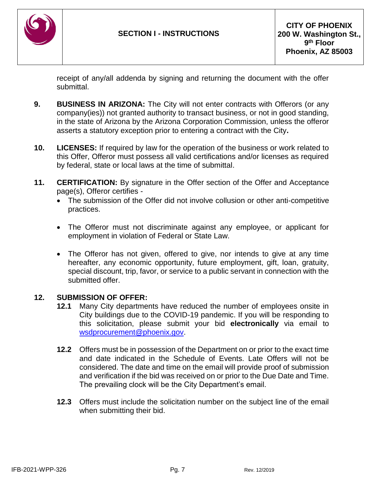

receipt of any/all addenda by signing and returning the document with the offer submittal.

- **9. BUSINESS IN ARIZONA:** The City will not enter contracts with Offerors (or any company(ies)) not granted authority to transact business, or not in good standing, in the state of Arizona by the Arizona Corporation Commission, unless the offeror asserts a statutory exception prior to entering a contract with the City**.**
- **10. LICENSES:** If required by law for the operation of the business or work related to this Offer, Offeror must possess all valid certifications and/or licenses as required by federal, state or local laws at the time of submittal.
- **11. CERTIFICATION:** By signature in the Offer section of the Offer and Acceptance page(s), Offeror certifies -
	- The submission of the Offer did not involve collusion or other anti-competitive practices.
	- The Offeror must not discriminate against any employee, or applicant for employment in violation of Federal or State Law.
	- The Offeror has not given, offered to give, nor intends to give at any time hereafter, any economic opportunity, future employment, gift, loan, gratuity, special discount, trip, favor, or service to a public servant in connection with the submitted offer.

#### **12. SUBMISSION OF OFFER:**

- **12.1** Many City departments have reduced the number of employees onsite in City buildings due to the COVID-19 pandemic. If you will be responding to this solicitation, please submit your bid **electronically** via email to [wsdprocurement@phoenix.gov.](mailto:wsdprocurement@phoenix.gov)
- **12.2** Offers must be in possession of the Department on or prior to the exact time and date indicated in the Schedule of Events. Late Offers will not be considered. The date and time on the email will provide proof of submission and verification if the bid was received on or prior to the Due Date and Time. The prevailing clock will be the City Department's email.
- **12.3** Offers must include the solicitation number on the subject line of the email when submitting their bid.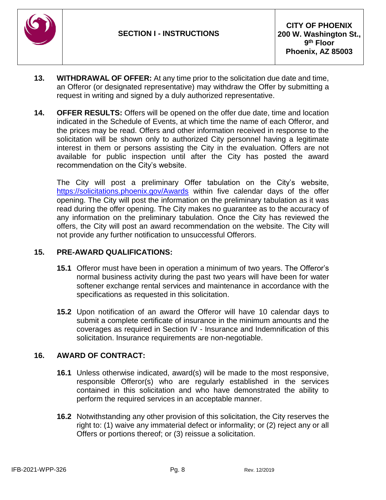

- **13. WITHDRAWAL OF OFFER:** At any time prior to the solicitation due date and time, an Offeror (or designated representative) may withdraw the Offer by submitting a request in writing and signed by a duly authorized representative.
- **14. OFFER RESULTS:** Offers will be opened on the offer due date, time and location indicated in the Schedule of Events, at which time the name of each Offeror, and the prices may be read. Offers and other information received in response to the solicitation will be shown only to authorized City personnel having a legitimate interest in them or persons assisting the City in the evaluation. Offers are not available for public inspection until after the City has posted the award recommendation on the City's website.

The City will post a preliminary Offer tabulation on the City's website, <https://solicitations.phoenix.gov/Awards> within five calendar days of the offer opening. The City will post the information on the preliminary tabulation as it was read during the offer opening. The City makes no guarantee as to the accuracy of any information on the preliminary tabulation. Once the City has reviewed the offers, the City will post an award recommendation on the website. The City will not provide any further notification to unsuccessful Offerors.

#### **15. PRE-AWARD QUALIFICATIONS:**

- **15.1** Offeror must have been in operation a minimum of two years. The Offeror's normal business activity during the past two years will have been for water softener exchange rental services and maintenance in accordance with the specifications as requested in this solicitation.
- **15.2** Upon notification of an award the Offeror will have 10 calendar days to submit a complete certificate of insurance in the minimum amounts and the coverages as required in Section IV - Insurance and Indemnification of this solicitation. Insurance requirements are non-negotiable.

## **16. AWARD OF CONTRACT:**

- **16.1** Unless otherwise indicated, award(s) will be made to the most responsive, responsible Offeror(s) who are regularly established in the services contained in this solicitation and who have demonstrated the ability to perform the required services in an acceptable manner.
- **16.2** Notwithstanding any other provision of this solicitation, the City reserves the right to: (1) waive any immaterial defect or informality; or (2) reject any or all Offers or portions thereof; or (3) reissue a solicitation.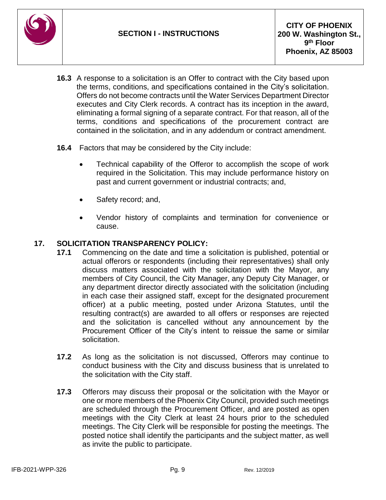

- **16.3** A response to a solicitation is an Offer to contract with the City based upon the terms, conditions, and specifications contained in the City's solicitation. Offers do not become contracts until the Water Services Department Director executes and City Clerk records. A contract has its inception in the award, eliminating a formal signing of a separate contract. For that reason, all of the terms, conditions and specifications of the procurement contract are contained in the solicitation, and in any addendum or contract amendment.
- **16.4** Factors that may be considered by the City include:
	- Technical capability of the Offeror to accomplish the scope of work required in the Solicitation. This may include performance history on past and current government or industrial contracts; and,
	- Safety record; and,
	- Vendor history of complaints and termination for convenience or cause.

#### **17. SOLICITATION TRANSPARENCY POLICY:**

- **17.1** Commencing on the date and time a solicitation is published, potential or actual offerors or respondents (including their representatives) shall only discuss matters associated with the solicitation with the Mayor, any members of City Council, the City Manager, any Deputy City Manager, or any department director directly associated with the solicitation (including in each case their assigned staff, except for the designated procurement officer) at a public meeting, posted under Arizona Statutes, until the resulting contract(s) are awarded to all offers or responses are rejected and the solicitation is cancelled without any announcement by the Procurement Officer of the City's intent to reissue the same or similar solicitation.
- **17.2** As long as the solicitation is not discussed, Offerors may continue to conduct business with the City and discuss business that is unrelated to the solicitation with the City staff.
- **17.3** Offerors may discuss their proposal or the solicitation with the Mayor or one or more members of the Phoenix City Council, provided such meetings are scheduled through the Procurement Officer, and are posted as open meetings with the City Clerk at least 24 hours prior to the scheduled meetings. The City Clerk will be responsible for posting the meetings. The posted notice shall identify the participants and the subject matter, as well as invite the public to participate.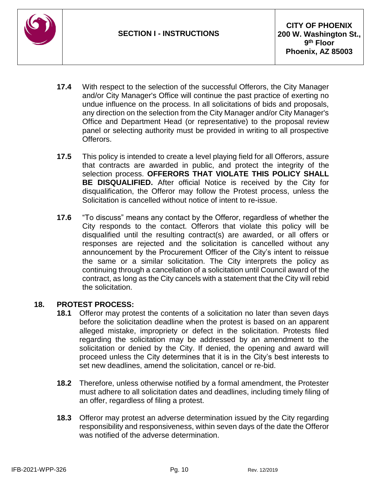

- **17.4** With respect to the selection of the successful Offerors, the City Manager and/or City Manager's Office will continue the past practice of exerting no undue influence on the process. In all solicitations of bids and proposals, any direction on the selection from the City Manager and/or City Manager's Office and Department Head (or representative) to the proposal review panel or selecting authority must be provided in writing to all prospective Offerors.
- **17.5** This policy is intended to create a level playing field for all Offerors, assure that contracts are awarded in public, and protect the integrity of the selection process. **OFFERORS THAT VIOLATE THIS POLICY SHALL BE DISQUALIFIED.** After official Notice is received by the City for disqualification, the Offeror may follow the Protest process, unless the Solicitation is cancelled without notice of intent to re-issue.
- **17.6** "To discuss" means any contact by the Offeror, regardless of whether the City responds to the contact. Offerors that violate this policy will be disqualified until the resulting contract(s) are awarded, or all offers or responses are rejected and the solicitation is cancelled without any announcement by the Procurement Officer of the City's intent to reissue the same or a similar solicitation. The City interprets the policy as continuing through a cancellation of a solicitation until Council award of the contract, as long as the City cancels with a statement that the City will rebid the solicitation.

## **18. PROTEST PROCESS:**

- **18.1** Offeror may protest the contents of a solicitation no later than seven days before the solicitation deadline when the protest is based on an apparent alleged mistake, impropriety or defect in the solicitation. Protests filed regarding the solicitation may be addressed by an amendment to the solicitation or denied by the City. If denied, the opening and award will proceed unless the City determines that it is in the City's best interests to set new deadlines, amend the solicitation, cancel or re-bid.
- **18.2** Therefore, unless otherwise notified by a formal amendment, the Protester must adhere to all solicitation dates and deadlines, including timely filing of an offer, regardless of filing a protest.
- **18.3** Offeror may protest an adverse determination issued by the City regarding responsibility and responsiveness, within seven days of the date the Offeror was notified of the adverse determination.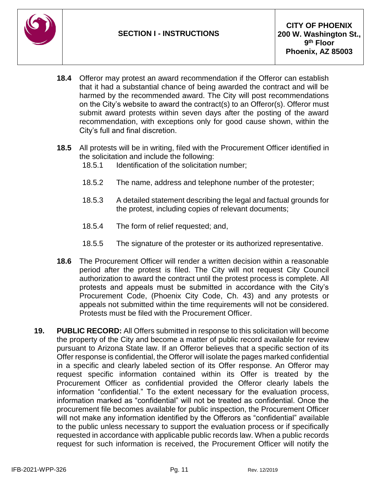

- **18.4** Offeror may protest an award recommendation if the Offeror can establish that it had a substantial chance of being awarded the contract and will be harmed by the recommended award. The City will post recommendations on the City's website to award the contract(s) to an Offeror(s). Offeror must submit award protests within seven days after the posting of the award recommendation, with exceptions only for good cause shown, within the City's full and final discretion.
- **18.5** All protests will be in writing, filed with the Procurement Officer identified in the solicitation and include the following:
	- 18.5.1 Identification of the solicitation number;
	- 18.5.2 The name, address and telephone number of the protester;
	- 18.5.3 A detailed statement describing the legal and factual grounds for the protest, including copies of relevant documents;
	- 18.5.4 The form of relief requested; and,
	- 18.5.5 The signature of the protester or its authorized representative.
- **18.6** The Procurement Officer will render a written decision within a reasonable period after the protest is filed. The City will not request City Council authorization to award the contract until the protest process is complete. All protests and appeals must be submitted in accordance with the City's Procurement Code, (Phoenix City Code, Ch. 43) and any protests or appeals not submitted within the time requirements will not be considered. Protests must be filed with the Procurement Officer.
- **19. PUBLIC RECORD:** All Offers submitted in response to this solicitation will become the property of the City and become a matter of public record available for review pursuant to Arizona State law. If an Offeror believes that a specific section of its Offer response is confidential, the Offeror will isolate the pages marked confidential in a specific and clearly labeled section of its Offer response. An Offeror may request specific information contained within its Offer is treated by the Procurement Officer as confidential provided the Offeror clearly labels the information "confidential." To the extent necessary for the evaluation process, information marked as "confidential" will not be treated as confidential. Once the procurement file becomes available for public inspection, the Procurement Officer will not make any information identified by the Offerors as "confidential" available to the public unless necessary to support the evaluation process or if specifically requested in accordance with applicable public records law. When a public records request for such information is received, the Procurement Officer will notify the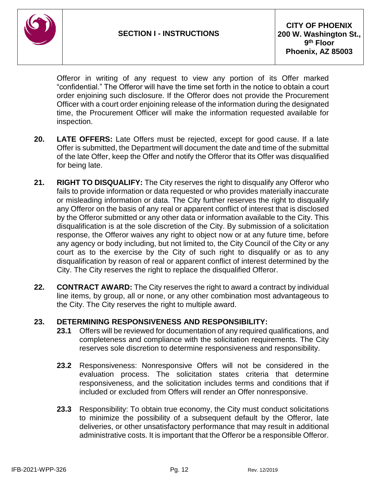

Offeror in writing of any request to view any portion of its Offer marked "confidential." The Offeror will have the time set forth in the notice to obtain a court order enjoining such disclosure. If the Offeror does not provide the Procurement Officer with a court order enjoining release of the information during the designated time, the Procurement Officer will make the information requested available for inspection.

- **20. LATE OFFERS:** Late Offers must be rejected, except for good cause. If a late Offer is submitted, the Department will document the date and time of the submittal of the late Offer, keep the Offer and notify the Offeror that its Offer was disqualified for being late.
- **21. RIGHT TO DISQUALIFY:** The City reserves the right to disqualify any Offeror who fails to provide information or data requested or who provides materially inaccurate or misleading information or data. The City further reserves the right to disqualify any Offeror on the basis of any real or apparent conflict of interest that is disclosed by the Offeror submitted or any other data or information available to the City. This disqualification is at the sole discretion of the City. By submission of a solicitation response, the Offeror waives any right to object now or at any future time, before any agency or body including, but not limited to, the City Council of the City or any court as to the exercise by the City of such right to disqualify or as to any disqualification by reason of real or apparent conflict of interest determined by the City. The City reserves the right to replace the disqualified Offeror.
- **22. CONTRACT AWARD:** The City reserves the right to award a contract by individual line items, by group, all or none, or any other combination most advantageous to the City. The City reserves the right to multiple award.

## **23. DETERMINING RESPONSIVENESS AND RESPONSIBILITY:**

- **23.1** Offers will be reviewed for documentation of any required qualifications, and completeness and compliance with the solicitation requirements. The City reserves sole discretion to determine responsiveness and responsibility.
- **23.2** Responsiveness: Nonresponsive Offers will not be considered in the evaluation process. The solicitation states criteria that determine responsiveness, and the solicitation includes terms and conditions that if included or excluded from Offers will render an Offer nonresponsive.
- **23.3** Responsibility: To obtain true economy, the City must conduct solicitations to minimize the possibility of a subsequent default by the Offeror, late deliveries, or other unsatisfactory performance that may result in additional administrative costs. It is important that the Offeror be a responsible Offeror.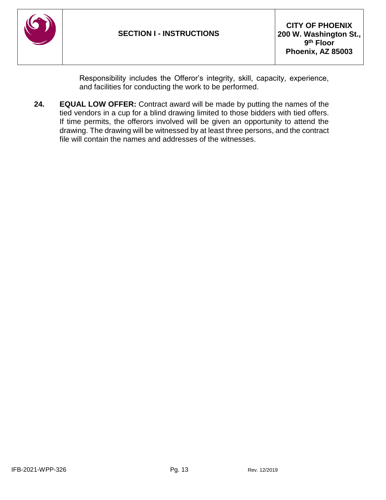

Responsibility includes the Offeror's integrity, skill, capacity, experience, and facilities for conducting the work to be performed.

**24. EQUAL LOW OFFER:** Contract award will be made by putting the names of the tied vendors in a cup for a blind drawing limited to those bidders with tied offers. If time permits, the offerors involved will be given an opportunity to attend the drawing. The drawing will be witnessed by at least three persons, and the contract file will contain the names and addresses of the witnesses.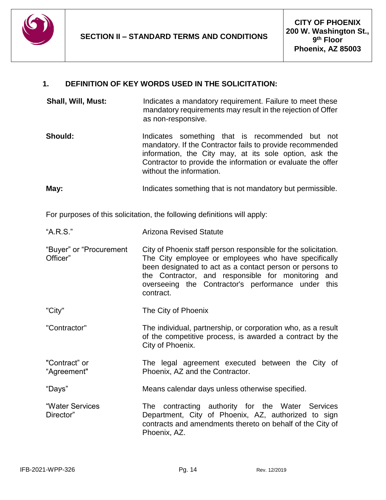

## **1. DEFINITION OF KEY WORDS USED IN THE SOLICITATION:**

- **Shall, Will, Must:** Indicates a mandatory requirement. Failure to meet these mandatory requirements may result in the rejection of Offer as non-responsive.
- **Should:** Indicates something that is recommended but not mandatory. If the Contractor fails to provide recommended information, the City may, at its sole option, ask the Contractor to provide the information or evaluate the offer without the information.

**May:** Indicates something that is not mandatory but permissible.

For purposes of this solicitation, the following definitions will apply:

- "Buyer" or "Procurement Officer" City of Phoenix staff person responsible for the solicitation. The City employee or employees who have specifically been designated to act as a contact person or persons to the Contractor, and responsible for monitoring and overseeing the Contractor's performance under this contract.
- "City" The City of Phoenix
- "Contractor" The individual, partnership, or corporation who, as a result of the competitive process, is awarded a contract by the City of Phoenix.
- "Contract" or "Agreement" The legal agreement executed between the City of Phoenix, AZ and the Contractor.

"Days" Means calendar days unless otherwise specified.

"Water Services Director" The contracting authority for the Water Services Department, City of Phoenix, AZ, authorized to sign contracts and amendments thereto on behalf of the City of Phoenix, AZ.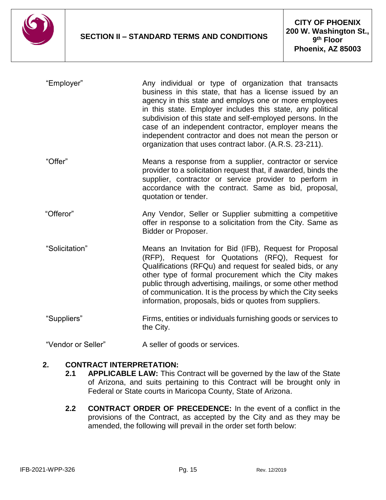

| "Employer"         | Any individual or type of organization that transacts<br>business in this state, that has a license issued by an<br>agency in this state and employs one or more employees<br>in this state. Employer includes this state, any political<br>subdivision of this state and self-employed persons. In the<br>case of an independent contractor, employer means the<br>independent contractor and does not mean the person or<br>organization that uses contract labor. (A.R.S. 23-211). |
|--------------------|---------------------------------------------------------------------------------------------------------------------------------------------------------------------------------------------------------------------------------------------------------------------------------------------------------------------------------------------------------------------------------------------------------------------------------------------------------------------------------------|
| "Offer"            | Means a response from a supplier, contractor or service<br>provider to a solicitation request that, if awarded, binds the<br>supplier, contractor or service provider to perform in<br>accordance with the contract. Same as bid, proposal,<br>quotation or tender.                                                                                                                                                                                                                   |
| "Offeror"          | Any Vendor, Seller or Supplier submitting a competitive<br>offer in response to a solicitation from the City. Same as<br>Bidder or Proposer.                                                                                                                                                                                                                                                                                                                                          |
| "Solicitation"     | Means an Invitation for Bid (IFB), Request for Proposal<br>(RFP), Request for Quotations (RFQ), Request for<br>Qualifications (RFQu) and request for sealed bids, or any<br>other type of formal procurement which the City makes<br>public through advertising, mailings, or some other method<br>of communication. It is the process by which the City seeks<br>information, proposals, bids or quotes from suppliers.                                                              |
| "Suppliers"        | Firms, entities or individuals furnishing goods or services to<br>the City.                                                                                                                                                                                                                                                                                                                                                                                                           |
| "Vendor or Seller" | A seller of goods or services.                                                                                                                                                                                                                                                                                                                                                                                                                                                        |

#### **2. CONTRACT INTERPRETATION:**

- **2.1 APPLICABLE LAW:** This Contract will be governed by the law of the State of Arizona, and suits pertaining to this Contract will be brought only in Federal or State courts in Maricopa County, State of Arizona.
- **2.2 CONTRACT ORDER OF PRECEDENCE:** In the event of a conflict in the provisions of the Contract, as accepted by the City and as they may be amended, the following will prevail in the order set forth below: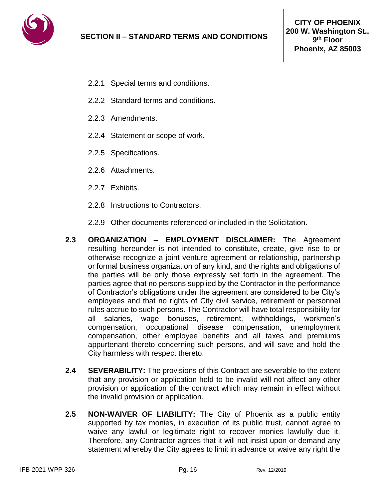

- 2.2.1 Special terms and conditions.
- 2.2.2 Standard terms and conditions.
- 2.2.3 Amendments.
- 2.2.4 Statement or scope of work.
- 2.2.5 Specifications.
- 2.2.6 Attachments.
- 2.2.7 Exhibits.
- 2.2.8 Instructions to Contractors.
- 2.2.9 Other documents referenced or included in the Solicitation.
- **2.3 ORGANIZATION – EMPLOYMENT DISCLAIMER:** The Agreement resulting hereunder is not intended to constitute, create, give rise to or otherwise recognize a joint venture agreement or relationship, partnership or formal business organization of any kind, and the rights and obligations of the parties will be only those expressly set forth in the agreement. The parties agree that no persons supplied by the Contractor in the performance of Contractor's obligations under the agreement are considered to be City's employees and that no rights of City civil service, retirement or personnel rules accrue to such persons. The Contractor will have total responsibility for all salaries, wage bonuses, retirement, withholdings, workmen's compensation, occupational disease compensation, unemployment compensation, other employee benefits and all taxes and premiums appurtenant thereto concerning such persons, and will save and hold the City harmless with respect thereto.
- **2.4 SEVERABILITY:** The provisions of this Contract are severable to the extent that any provision or application held to be invalid will not affect any other provision or application of the contract which may remain in effect without the invalid provision or application.
- **2.5 NON-WAIVER OF LIABILITY:** The City of Phoenix as a public entity supported by tax monies, in execution of its public trust, cannot agree to waive any lawful or legitimate right to recover monies lawfully due it. Therefore, any Contractor agrees that it will not insist upon or demand any statement whereby the City agrees to limit in advance or waive any right the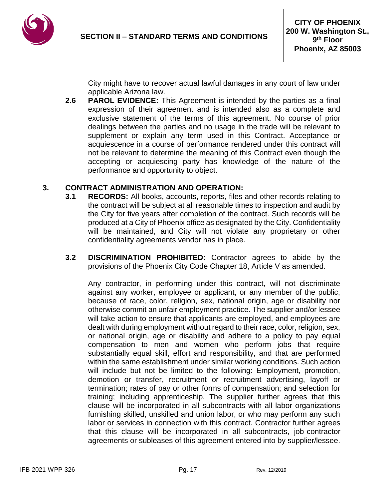

City might have to recover actual lawful damages in any court of law under applicable Arizona law.

**2.6 PAROL EVIDENCE:** This Agreement is intended by the parties as a final expression of their agreement and is intended also as a complete and exclusive statement of the terms of this agreement. No course of prior dealings between the parties and no usage in the trade will be relevant to supplement or explain any term used in this Contract. Acceptance or acquiescence in a course of performance rendered under this contract will not be relevant to determine the meaning of this Contract even though the accepting or acquiescing party has knowledge of the nature of the performance and opportunity to object.

#### **3. CONTRACT ADMINISTRATION AND OPERATION:**

- **3.1 RECORDS:** All books, accounts, reports, files and other records relating to the contract will be subject at all reasonable times to inspection and audit by the City for five years after completion of the contract. Such records will be produced at a City of Phoenix office as designated by the City. Confidentiality will be maintained, and City will not violate any proprietary or other confidentiality agreements vendor has in place.
- **3.2 DISCRIMINATION PROHIBITED:** Contractor agrees to abide by the provisions of the Phoenix City Code Chapter 18, Article V as amended.

Any contractor, in performing under this contract, will not discriminate against any worker, employee or applicant, or any member of the public, because of race, color, religion, sex, national origin, age or disability nor otherwise commit an unfair employment practice. The supplier and/or lessee will take action to ensure that applicants are employed, and employees are dealt with during employment without regard to their race, color, religion, sex, or national origin, age or disability and adhere to a policy to pay equal compensation to men and women who perform jobs that require substantially equal skill, effort and responsibility, and that are performed within the same establishment under similar working conditions. Such action will include but not be limited to the following: Employment, promotion, demotion or transfer, recruitment or recruitment advertising, layoff or termination; rates of pay or other forms of compensation; and selection for training; including apprenticeship. The supplier further agrees that this clause will be incorporated in all subcontracts with all labor organizations furnishing skilled, unskilled and union labor, or who may perform any such labor or services in connection with this contract. Contractor further agrees that this clause will be incorporated in all subcontracts, job-contractor agreements or subleases of this agreement entered into by supplier/lessee.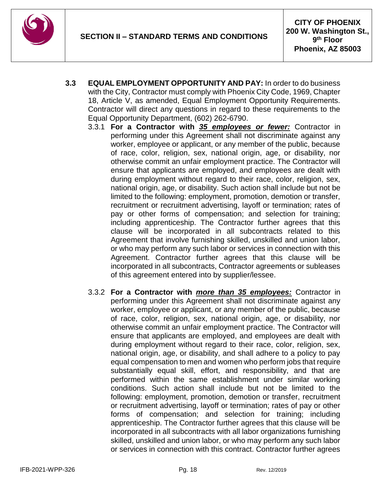

- **3.3 EQUAL EMPLOYMENT OPPORTUNITY AND PAY:** In order to do business with the City, Contractor must comply with Phoenix City Code, 1969, Chapter 18, Article V, as amended, Equal Employment Opportunity Requirements. Contractor will direct any questions in regard to these requirements to the Equal Opportunity Department, (602) 262-6790.
	- 3.3.1 **For a Contractor with** *35 employees or fewer:* Contractor in performing under this Agreement shall not discriminate against any worker, employee or applicant, or any member of the public, because of race, color, religion, sex, national origin, age, or disability, nor otherwise commit an unfair employment practice. The Contractor will ensure that applicants are employed, and employees are dealt with during employment without regard to their race, color, religion, sex, national origin, age, or disability. Such action shall include but not be limited to the following: employment, promotion, demotion or transfer, recruitment or recruitment advertising, layoff or termination; rates of pay or other forms of compensation; and selection for training; including apprenticeship. The Contractor further agrees that this clause will be incorporated in all subcontracts related to this Agreement that involve furnishing skilled, unskilled and union labor, or who may perform any such labor or services in connection with this Agreement. Contractor further agrees that this clause will be incorporated in all subcontracts, Contractor agreements or subleases of this agreement entered into by supplier/lessee.
	- 3.3.2 **For a Contractor with** *more than 35 employees:* Contractor in performing under this Agreement shall not discriminate against any worker, employee or applicant, or any member of the public, because of race, color, religion, sex, national origin, age, or disability, nor otherwise commit an unfair employment practice. The Contractor will ensure that applicants are employed, and employees are dealt with during employment without regard to their race, color, religion, sex, national origin, age, or disability, and shall adhere to a policy to pay equal compensation to men and women who perform jobs that require substantially equal skill, effort, and responsibility, and that are performed within the same establishment under similar working conditions. Such action shall include but not be limited to the following: employment, promotion, demotion or transfer, recruitment or recruitment advertising, layoff or termination; rates of pay or other forms of compensation; and selection for training; including apprenticeship. The Contractor further agrees that this clause will be incorporated in all subcontracts with all labor organizations furnishing skilled, unskilled and union labor, or who may perform any such labor or services in connection with this contract. Contractor further agrees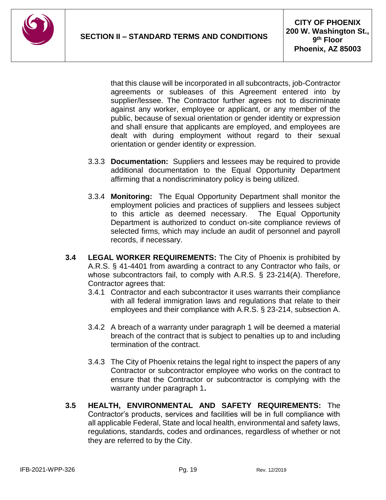

that this clause will be incorporated in all subcontracts, job-Contractor agreements or subleases of this Agreement entered into by supplier/lessee. The Contractor further agrees not to discriminate against any worker, employee or applicant, or any member of the public, because of sexual orientation or gender identity or expression and shall ensure that applicants are employed, and employees are dealt with during employment without regard to their sexual orientation or gender identity or expression.

- 3.3.3 **Documentation:** Suppliers and lessees may be required to provide additional documentation to the Equal Opportunity Department affirming that a nondiscriminatory policy is being utilized.
- 3.3.4 **Monitoring:** The Equal Opportunity Department shall monitor the employment policies and practices of suppliers and lessees subject to this article as deemed necessary. The Equal Opportunity Department is authorized to conduct on-site compliance reviews of selected firms, which may include an audit of personnel and payroll records, if necessary.
- **3.4 LEGAL WORKER REQUIREMENTS:** The City of Phoenix is prohibited by A.R.S. § 41-4401 from awarding a contract to any Contractor who fails, or whose subcontractors fail, to comply with A.R.S. § 23-214(A). Therefore, Contractor agrees that:
	- 3.4.1 Contractor and each subcontractor it uses warrants their compliance with all federal immigration laws and regulations that relate to their employees and their compliance with A.R.S. § 23-214, subsection A.
	- 3.4.2 A breach of a warranty under paragraph 1 will be deemed a material breach of the contract that is subject to penalties up to and including termination of the contract.
	- 3.4.3 The City of Phoenix retains the legal right to inspect the papers of any Contractor or subcontractor employee who works on the contract to ensure that the Contractor or subcontractor is complying with the warranty under paragraph 1**.**
- **3.5 HEALTH, ENVIRONMENTAL AND SAFETY REQUIREMENTS:** The Contractor's products, services and facilities will be in full compliance with all applicable Federal, State and local health, environmental and safety laws, regulations, standards, codes and ordinances, regardless of whether or not they are referred to by the City.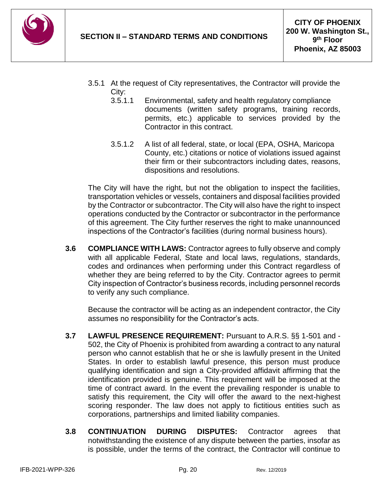

- 3.5.1 At the request of City representatives, the Contractor will provide the City:
	- 3.5.1.1 Environmental, safety and health regulatory compliance documents (written safety programs, training records, permits, etc.) applicable to services provided by the Contractor in this contract.
	- 3.5.1.2 A list of all federal, state, or local (EPA, OSHA, Maricopa County, etc.) citations or notice of violations issued against their firm or their subcontractors including dates, reasons, dispositions and resolutions.

The City will have the right, but not the obligation to inspect the facilities, transportation vehicles or vessels, containers and disposal facilities provided by the Contractor or subcontractor. The City will also have the right to inspect operations conducted by the Contractor or subcontractor in the performance of this agreement. The City further reserves the right to make unannounced inspections of the Contractor's facilities (during normal business hours).

**3.6 COMPLIANCE WITH LAWS:** Contractor agrees to fully observe and comply with all applicable Federal, State and local laws, regulations, standards, codes and ordinances when performing under this Contract regardless of whether they are being referred to by the City. Contractor agrees to permit City inspection of Contractor's business records, including personnel records to verify any such compliance.

Because the contractor will be acting as an independent contractor, the City assumes no responsibility for the Contractor's acts.

- **3.7 LAWFUL PRESENCE REQUIREMENT:** Pursuant to A.R.S. §§ 1-501 and 502, the City of Phoenix is prohibited from awarding a contract to any natural person who cannot establish that he or she is lawfully present in the United States. In order to establish lawful presence, this person must produce qualifying identification and sign a City-provided affidavit affirming that the identification provided is genuine. This requirement will be imposed at the time of contract award. In the event the prevailing responder is unable to satisfy this requirement, the City will offer the award to the next-highest scoring responder. The law does not apply to fictitious entities such as corporations, partnerships and limited liability companies.
- **3.8 CONTINUATION DURING DISPUTES:** Contractor agrees that notwithstanding the existence of any dispute between the parties, insofar as is possible, under the terms of the contract, the Contractor will continue to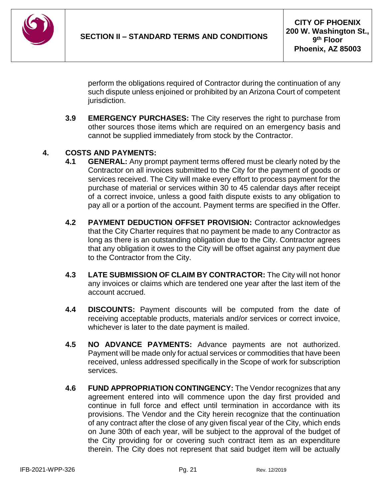

perform the obligations required of Contractor during the continuation of any such dispute unless enjoined or prohibited by an Arizona Court of competent jurisdiction.

**3.9 EMERGENCY PURCHASES:** The City reserves the right to purchase from other sources those items which are required on an emergency basis and cannot be supplied immediately from stock by the Contractor.

## **4. COSTS AND PAYMENTS:**

- **4.1 GENERAL:** Any prompt payment terms offered must be clearly noted by the Contractor on all invoices submitted to the City for the payment of goods or services received. The City will make every effort to process payment for the purchase of material or services within 30 to 45 calendar days after receipt of a correct invoice, unless a good faith dispute exists to any obligation to pay all or a portion of the account. Payment terms are specified in the Offer.
- **4.2 PAYMENT DEDUCTION OFFSET PROVISION:** Contractor acknowledges that the City Charter requires that no payment be made to any Contractor as long as there is an outstanding obligation due to the City. Contractor agrees that any obligation it owes to the City will be offset against any payment due to the Contractor from the City.
- **4.3 LATE SUBMISSION OF CLAIM BY CONTRACTOR:** The City will not honor any invoices or claims which are tendered one year after the last item of the account accrued.
- **4.4 DISCOUNTS:** Payment discounts will be computed from the date of receiving acceptable products, materials and/or services or correct invoice, whichever is later to the date payment is mailed.
- **4.5 NO ADVANCE PAYMENTS:** Advance payments are not authorized. Payment will be made only for actual services or commodities that have been received, unless addressed specifically in the Scope of work for subscription services.
- **4.6 FUND APPROPRIATION CONTINGENCY:** The Vendor recognizes that any agreement entered into will commence upon the day first provided and continue in full force and effect until termination in accordance with its provisions. The Vendor and the City herein recognize that the continuation of any contract after the close of any given fiscal year of the City, which ends on June 30th of each year, will be subject to the approval of the budget of the City providing for or covering such contract item as an expenditure therein. The City does not represent that said budget item will be actually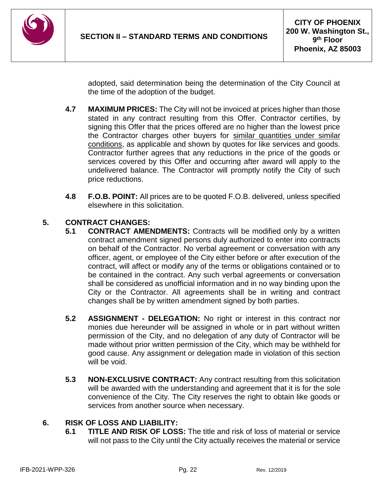

adopted, said determination being the determination of the City Council at the time of the adoption of the budget.

- **4.7 MAXIMUM PRICES:** The City will not be invoiced at prices higher than those stated in any contract resulting from this Offer. Contractor certifies, by signing this Offer that the prices offered are no higher than the lowest price the Contractor charges other buyers for similar quantities under similar conditions, as applicable and shown by quotes for like services and goods. Contractor further agrees that any reductions in the price of the goods or services covered by this Offer and occurring after award will apply to the undelivered balance. The Contractor will promptly notify the City of such price reductions.
- **4.8 F.O.B. POINT:** All prices are to be quoted F.O.B. delivered, unless specified elsewhere in this solicitation.

## **5. CONTRACT CHANGES:**

- **5.1 CONTRACT AMENDMENTS:** Contracts will be modified only by a written contract amendment signed persons duly authorized to enter into contracts on behalf of the Contractor. No verbal agreement or conversation with any officer, agent, or employee of the City either before or after execution of the contract, will affect or modify any of the terms or obligations contained or to be contained in the contract. Any such verbal agreements or conversation shall be considered as unofficial information and in no way binding upon the City or the Contractor. All agreements shall be in writing and contract changes shall be by written amendment signed by both parties.
- **5.2 ASSIGNMENT - DELEGATION:** No right or interest in this contract nor monies due hereunder will be assigned in whole or in part without written permission of the City, and no delegation of any duty of Contractor will be made without prior written permission of the City, which may be withheld for good cause. Any assignment or delegation made in violation of this section will be void.
- **5.3 NON-EXCLUSIVE CONTRACT:** Any contract resulting from this solicitation will be awarded with the understanding and agreement that it is for the sole convenience of the City. The City reserves the right to obtain like goods or services from another source when necessary.

## **6. RISK OF LOSS AND LIABILITY:**

**6.1 TITLE AND RISK OF LOSS:** The title and risk of loss of material or service will not pass to the City until the City actually receives the material or service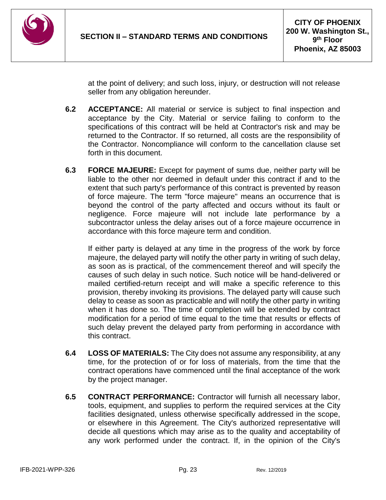

at the point of delivery; and such loss, injury, or destruction will not release seller from any obligation hereunder.

- **6.2 ACCEPTANCE:** All material or service is subject to final inspection and acceptance by the City. Material or service failing to conform to the specifications of this contract will be held at Contractor's risk and may be returned to the Contractor. If so returned, all costs are the responsibility of the Contractor. Noncompliance will conform to the cancellation clause set forth in this document.
- **6.3 FORCE MAJEURE:** Except for payment of sums due, neither party will be liable to the other nor deemed in default under this contract if and to the extent that such party's performance of this contract is prevented by reason of force majeure. The term "force majeure" means an occurrence that is beyond the control of the party affected and occurs without its fault or negligence. Force majeure will not include late performance by a subcontractor unless the delay arises out of a force majeure occurrence in accordance with this force majeure term and condition.

If either party is delayed at any time in the progress of the work by force majeure, the delayed party will notify the other party in writing of such delay, as soon as is practical, of the commencement thereof and will specify the causes of such delay in such notice. Such notice will be hand-delivered or mailed certified-return receipt and will make a specific reference to this provision, thereby invoking its provisions. The delayed party will cause such delay to cease as soon as practicable and will notify the other party in writing when it has done so. The time of completion will be extended by contract modification for a period of time equal to the time that results or effects of such delay prevent the delayed party from performing in accordance with this contract.

- **6.4 LOSS OF MATERIALS:** The City does not assume any responsibility, at any time, for the protection of or for loss of materials, from the time that the contract operations have commenced until the final acceptance of the work by the project manager.
- **6.5 CONTRACT PERFORMANCE:** Contractor will furnish all necessary labor, tools, equipment, and supplies to perform the required services at the City facilities designated, unless otherwise specifically addressed in the scope, or elsewhere in this Agreement. The City's authorized representative will decide all questions which may arise as to the quality and acceptability of any work performed under the contract. If, in the opinion of the City's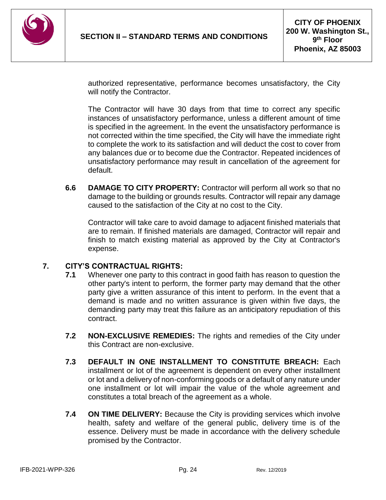

authorized representative, performance becomes unsatisfactory, the City will notify the Contractor.

The Contractor will have 30 days from that time to correct any specific instances of unsatisfactory performance, unless a different amount of time is specified in the agreement. In the event the unsatisfactory performance is not corrected within the time specified, the City will have the immediate right to complete the work to its satisfaction and will deduct the cost to cover from any balances due or to become due the Contractor. Repeated incidences of unsatisfactory performance may result in cancellation of the agreement for default.

**6.6 DAMAGE TO CITY PROPERTY:** Contractor will perform all work so that no damage to the building or grounds results. Contractor will repair any damage caused to the satisfaction of the City at no cost to the City.

Contractor will take care to avoid damage to adjacent finished materials that are to remain. If finished materials are damaged, Contractor will repair and finish to match existing material as approved by the City at Contractor's expense.

#### **7. CITY'S CONTRACTUAL RIGHTS:**

- **7.1** Whenever one party to this contract in good faith has reason to question the other party's intent to perform, the former party may demand that the other party give a written assurance of this intent to perform. In the event that a demand is made and no written assurance is given within five days, the demanding party may treat this failure as an anticipatory repudiation of this contract.
- **7.2 NON-EXCLUSIVE REMEDIES:** The rights and remedies of the City under this Contract are non-exclusive.
- **7.3 DEFAULT IN ONE INSTALLMENT TO CONSTITUTE BREACH:** Each installment or lot of the agreement is dependent on every other installment or lot and a delivery of non-conforming goods or a default of any nature under one installment or lot will impair the value of the whole agreement and constitutes a total breach of the agreement as a whole.
- **7.4 ON TIME DELIVERY:** Because the City is providing services which involve health, safety and welfare of the general public, delivery time is of the essence. Delivery must be made in accordance with the delivery schedule promised by the Contractor.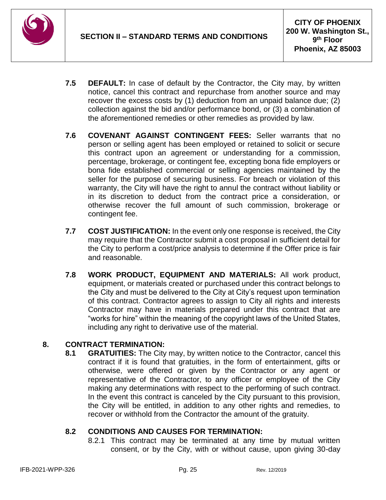

- **7.5 DEFAULT:** In case of default by the Contractor, the City may, by written notice, cancel this contract and repurchase from another source and may recover the excess costs by (1) deduction from an unpaid balance due; (2) collection against the bid and/or performance bond, or (3) a combination of the aforementioned remedies or other remedies as provided by law.
- **7.6 COVENANT AGAINST CONTINGENT FEES:** Seller warrants that no person or selling agent has been employed or retained to solicit or secure this contract upon an agreement or understanding for a commission, percentage, brokerage, or contingent fee, excepting bona fide employers or bona fide established commercial or selling agencies maintained by the seller for the purpose of securing business. For breach or violation of this warranty, the City will have the right to annul the contract without liability or in its discretion to deduct from the contract price a consideration, or otherwise recover the full amount of such commission, brokerage or contingent fee.
- **7.7 COST JUSTIFICATION:** In the event only one response is received, the City may require that the Contractor submit a cost proposal in sufficient detail for the City to perform a cost/price analysis to determine if the Offer price is fair and reasonable.
- **7.8 WORK PRODUCT, EQUIPMENT AND MATERIALS:** All work product, equipment, or materials created or purchased under this contract belongs to the City and must be delivered to the City at City's request upon termination of this contract. Contractor agrees to assign to City all rights and interests Contractor may have in materials prepared under this contract that are "works for hire" within the meaning of the copyright laws of the United States, including any right to derivative use of the material.

## **8. CONTRACT TERMINATION:**

**8.1 GRATUITIES:** The City may, by written notice to the Contractor, cancel this contract if it is found that gratuities, in the form of entertainment, gifts or otherwise, were offered or given by the Contractor or any agent or representative of the Contractor, to any officer or employee of the City making any determinations with respect to the performing of such contract. In the event this contract is canceled by the City pursuant to this provision, the City will be entitled, in addition to any other rights and remedies, to recover or withhold from the Contractor the amount of the gratuity.

## **8.2 CONDITIONS AND CAUSES FOR TERMINATION:**

8.2.1 This contract may be terminated at any time by mutual written consent, or by the City, with or without cause, upon giving 30-day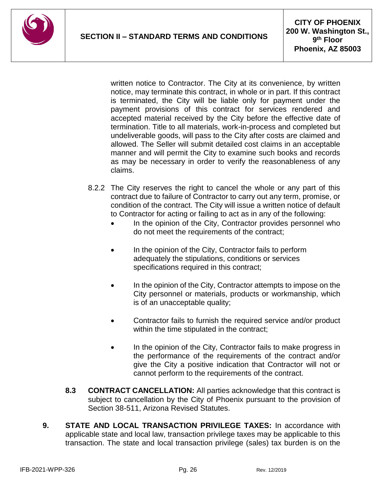

written notice to Contractor. The City at its convenience, by written notice, may terminate this contract, in whole or in part. If this contract is terminated, the City will be liable only for payment under the payment provisions of this contract for services rendered and accepted material received by the City before the effective date of termination. Title to all materials, work-in-process and completed but undeliverable goods, will pass to the City after costs are claimed and allowed. The Seller will submit detailed cost claims in an acceptable manner and will permit the City to examine such books and records as may be necessary in order to verify the reasonableness of any claims.

- 8.2.2 The City reserves the right to cancel the whole or any part of this contract due to failure of Contractor to carry out any term, promise, or condition of the contract. The City will issue a written notice of default to Contractor for acting or failing to act as in any of the following:
	- In the opinion of the City, Contractor provides personnel who do not meet the requirements of the contract;
	- In the opinion of the City, Contractor fails to perform adequately the stipulations, conditions or services specifications required in this contract;
	- In the opinion of the City, Contractor attempts to impose on the City personnel or materials, products or workmanship, which is of an unacceptable quality;
	- Contractor fails to furnish the required service and/or product within the time stipulated in the contract;
	- In the opinion of the City, Contractor fails to make progress in the performance of the requirements of the contract and/or give the City a positive indication that Contractor will not or cannot perform to the requirements of the contract.
- **8.3 CONTRACT CANCELLATION:** All parties acknowledge that this contract is subject to cancellation by the City of Phoenix pursuant to the provision of Section 38-511, Arizona Revised Statutes.
- **9. STATE AND LOCAL TRANSACTION PRIVILEGE TAXES:** In accordance with applicable state and local law, transaction privilege taxes may be applicable to this transaction. The state and local transaction privilege (sales) tax burden is on the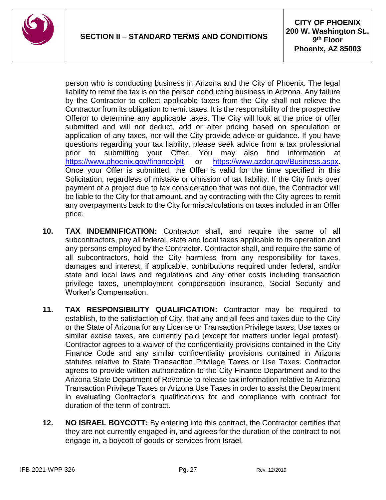

person who is conducting business in Arizona and the City of Phoenix. The legal liability to remit the tax is on the person conducting business in Arizona. Any failure by the Contractor to collect applicable taxes from the City shall not relieve the Contractor from its obligation to remit taxes. It is the responsibility of the prospective Offeror to determine any applicable taxes. The City will look at the price or offer submitted and will not deduct, add or alter pricing based on speculation or application of any taxes, nor will the City provide advice or guidance. If you have questions regarding your tax liability, please seek advice from a tax professional prior to submitting your Offer. You may also find information at <https://www.phoenix.gov/finance/plt> or [https://www.azdor.gov/Business.aspx.](https://www.azdor.gov/Business.aspx) Once your Offer is submitted, the Offer is valid for the time specified in this Solicitation, regardless of mistake or omission of tax liability. If the City finds over payment of a project due to tax consideration that was not due, the Contractor will be liable to the City for that amount, and by contracting with the City agrees to remit any overpayments back to the City for miscalculations on taxes included in an Offer price.

- **10. TAX INDEMNIFICATION:** Contractor shall, and require the same of all subcontractors, pay all federal, state and local taxes applicable to its operation and any persons employed by the Contractor. Contractor shall, and require the same of all subcontractors, hold the City harmless from any responsibility for taxes, damages and interest, if applicable, contributions required under federal, and/or state and local laws and regulations and any other costs including transaction privilege taxes, unemployment compensation insurance, Social Security and Worker's Compensation.
- **11. TAX RESPONSIBILITY QUALIFICATION:** Contractor may be required to establish, to the satisfaction of City, that any and all fees and taxes due to the City or the State of Arizona for any License or Transaction Privilege taxes, Use taxes or similar excise taxes, are currently paid (except for matters under legal protest). Contractor agrees to a waiver of the confidentiality provisions contained in the City Finance Code and any similar confidentiality provisions contained in Arizona statutes relative to State Transaction Privilege Taxes or Use Taxes. Contractor agrees to provide written authorization to the City Finance Department and to the Arizona State Department of Revenue to release tax information relative to Arizona Transaction Privilege Taxes or Arizona Use Taxes in order to assist the Department in evaluating Contractor's qualifications for and compliance with contract for duration of the term of contract.
- **12. NO ISRAEL BOYCOTT:** By entering into this contract, the Contractor certifies that they are not currently engaged in, and agrees for the duration of the contract to not engage in, a boycott of goods or services from Israel.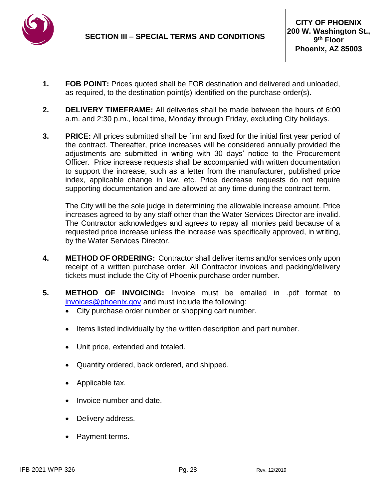

- **1. FOB POINT:** Prices quoted shall be FOB destination and delivered and unloaded, as required, to the destination point(s) identified on the purchase order(s).
- **2. DELIVERY TIMEFRAME:** All deliveries shall be made between the hours of 6:00 a.m. and 2:30 p.m., local time, Monday through Friday, excluding City holidays.
- **3. PRICE:** All prices submitted shall be firm and fixed for the initial first year period of the contract. Thereafter, price increases will be considered annually provided the adjustments are submitted in writing with 30 days' notice to the Procurement Officer. Price increase requests shall be accompanied with written documentation to support the increase, such as a letter from the manufacturer, published price index, applicable change in law, etc. Price decrease requests do not require supporting documentation and are allowed at any time during the contract term.

The City will be the sole judge in determining the allowable increase amount. Price increases agreed to by any staff other than the Water Services Director are invalid. The Contractor acknowledges and agrees to repay all monies paid because of a requested price increase unless the increase was specifically approved, in writing, by the Water Services Director.

- **4. METHOD OF ORDERING:** Contractor shall deliver items and/or services only upon receipt of a written purchase order. All Contractor invoices and packing/delivery tickets must include the City of Phoenix purchase order number.
- **5. METHOD OF INVOICING:** Invoice must be emailed in .pdf format to [invoices@phoenix.gov](mailto:invoices@phoenix.gov) and must include the following:
	- City purchase order number or shopping cart number.
	- Items listed individually by the written description and part number.
	- Unit price, extended and totaled.
	- Quantity ordered, back ordered, and shipped.
	- Applicable tax.
	- Invoice number and date.
	- Delivery address.
	- Payment terms.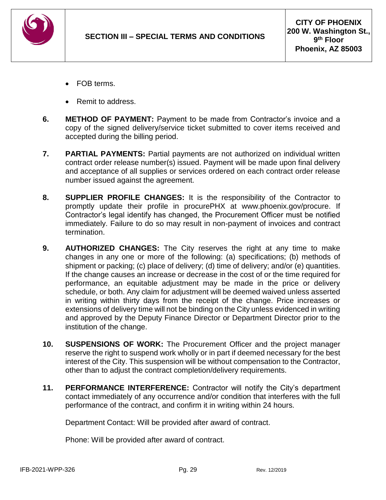

- FOB terms.
- Remit to address.
- **6. METHOD OF PAYMENT:** Payment to be made from Contractor's invoice and a copy of the signed delivery/service ticket submitted to cover items received and accepted during the billing period.
- **7. PARTIAL PAYMENTS:** Partial payments are not authorized on individual written contract order release number(s) issued. Payment will be made upon final delivery and acceptance of all supplies or services ordered on each contract order release number issued against the agreement.
- **8. SUPPLIER PROFILE CHANGES:** It is the responsibility of the Contractor to promptly update their profile in procurePHX at www.phoenix.gov/procure. If Contractor's legal identify has changed, the Procurement Officer must be notified immediately. Failure to do so may result in non-payment of invoices and contract termination.
- **9. AUTHORIZED CHANGES:** The City reserves the right at any time to make changes in any one or more of the following: (a) specifications; (b) methods of shipment or packing; (c) place of delivery; (d) time of delivery; and/or (e) quantities. If the change causes an increase or decrease in the cost of or the time required for performance, an equitable adjustment may be made in the price or delivery schedule, or both. Any claim for adjustment will be deemed waived unless asserted in writing within thirty days from the receipt of the change. Price increases or extensions of delivery time will not be binding on the City unless evidenced in writing and approved by the Deputy Finance Director or Department Director prior to the institution of the change.
- **10. SUSPENSIONS OF WORK:** The Procurement Officer and the project manager reserve the right to suspend work wholly or in part if deemed necessary for the best interest of the City. This suspension will be without compensation to the Contractor, other than to adjust the contract completion/delivery requirements.
- **11. PERFORMANCE INTERFERENCE:** Contractor will notify the City's department contact immediately of any occurrence and/or condition that interferes with the full performance of the contract, and confirm it in writing within 24 hours.

Department Contact: Will be provided after award of contract.

Phone: Will be provided after award of contract.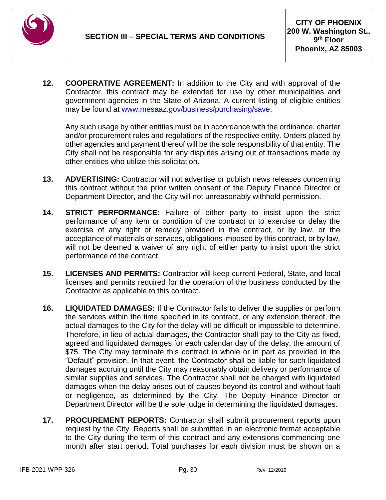

**12. COOPERATIVE AGREEMENT:** In addition to the City and with approval of the Contractor, this contract may be extended for use by other municipalities and government agencies in the State of Arizona. A current listing of eligible entities may be found at [www.mesaaz.gov/business/purchasing/save.](http://www.mesaaz.gov/business/purchasing/save)

Any such usage by other entities must be in accordance with the ordinance, charter and/or procurement rules and regulations of the respective entity. Orders placed by other agencies and payment thereof will be the sole responsibility of that entity. The City shall not be responsible for any disputes arising out of transactions made by other entities who utilize this solicitation.

- **13. ADVERTISING:** Contractor will not advertise or publish news releases concerning this contract without the prior written consent of the Deputy Finance Director or Department Director, and the City will not unreasonably withhold permission.
- **14. STRICT PERFORMANCE:** Failure of either party to insist upon the strict performance of any item or condition of the contract or to exercise or delay the exercise of any right or remedy provided in the contract, or by law, or the acceptance of materials or services, obligations imposed by this contract, or by law, will not be deemed a waiver of any right of either party to insist upon the strict performance of the contract.
- **15. LICENSES AND PERMITS:** Contractor will keep current Federal, State, and local licenses and permits required for the operation of the business conducted by the Contractor as applicable to this contract.
- **16. LIQUIDATED DAMAGES:** If the Contractor fails to deliver the supplies or perform the services within the time specified in its contract, or any extension thereof, the actual damages to the City for the delay will be difficult or impossible to determine. Therefore, in lieu of actual damages, the Contractor shall pay to the City as fixed, agreed and liquidated damages for each calendar day of the delay, the amount of \$75. The City may terminate this contract in whole or in part as provided in the "Default" provision. In that event, the Contractor shall be liable for such liquidated damages accruing until the City may reasonably obtain delivery or performance of similar supplies and services. The Contractor shall not be charged with liquidated damages when the delay arises out of causes beyond its control and without fault or negligence, as determined by the City. The Deputy Finance Director or Department Director will be the sole judge in determining the liquidated damages.
- **17. PROCUREMENT REPORTS:** Contractor shall submit procurement reports upon request by the City. Reports shall be submitted in an electronic format acceptable to the City during the term of this contract and any extensions commencing one month after start period. Total purchases for each division must be shown on a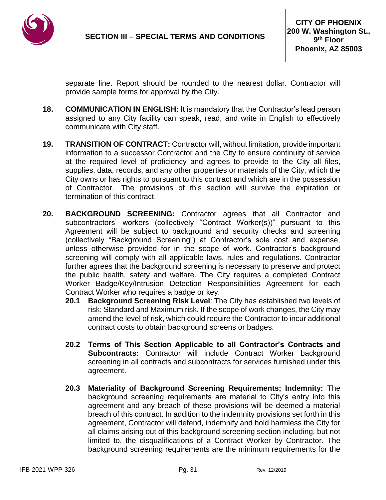

separate line. Report should be rounded to the nearest dollar. Contractor will provide sample forms for approval by the City.

- **18. COMMUNICATION IN ENGLISH:** It is mandatory that the Contractor's lead person assigned to any City facility can speak, read, and write in English to effectively communicate with City staff.
- **19. TRANSITION OF CONTRACT:** Contractor will, without limitation, provide important information to a successor Contractor and the City to ensure continuity of service at the required level of proficiency and agrees to provide to the City all files, supplies, data, records, and any other properties or materials of the City, which the City owns or has rights to pursuant to this contract and which are in the possession of Contractor. The provisions of this section will survive the expiration or termination of this contract.
- **20. BACKGROUND SCREENING:** Contractor agrees that all Contractor and subcontractors' workers (collectively "Contract Worker(s))" pursuant to this Agreement will be subject to background and security checks and screening (collectively "Background Screening") at Contractor's sole cost and expense, unless otherwise provided for in the scope of work. Contractor's background screening will comply with all applicable laws, rules and regulations. Contractor further agrees that the background screening is necessary to preserve and protect the public health, safety and welfare. The City requires a completed Contract Worker Badge/Key/Intrusion Detection Responsibilities Agreement for each Contract Worker who requires a badge or key.
	- **20.1 Background Screening Risk Level**: The City has established two levels of risk: Standard and Maximum risk. If the scope of work changes, the City may amend the level of risk, which could require the Contractor to incur additional contract costs to obtain background screens or badges.
	- **20.2 Terms of This Section Applicable to all Contractor's Contracts and Subcontracts:** Contractor will include Contract Worker background screening in all contracts and subcontracts for services furnished under this agreement.
	- **20.3 Materiality of Background Screening Requirements; Indemnity:** The background screening requirements are material to City's entry into this agreement and any breach of these provisions will be deemed a material breach of this contract. In addition to the indemnity provisions set forth in this agreement, Contractor will defend, indemnify and hold harmless the City for all claims arising out of this background screening section including, but not limited to, the disqualifications of a Contract Worker by Contractor. The background screening requirements are the minimum requirements for the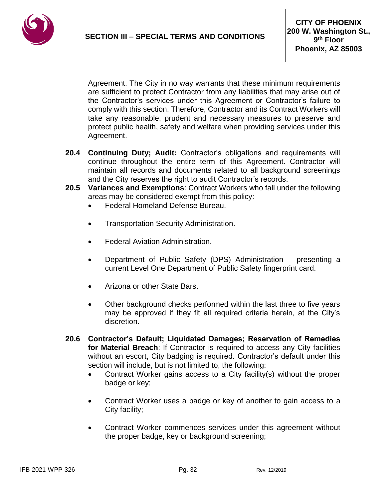

Agreement. The City in no way warrants that these minimum requirements are sufficient to protect Contractor from any liabilities that may arise out of the Contractor's services under this Agreement or Contractor's failure to comply with this section. Therefore, Contractor and its Contract Workers will take any reasonable, prudent and necessary measures to preserve and protect public health, safety and welfare when providing services under this Agreement.

- **20.4 Continuing Duty; Audit:** Contractor's obligations and requirements will continue throughout the entire term of this Agreement. Contractor will maintain all records and documents related to all background screenings and the City reserves the right to audit Contractor's records.
- **20.5 Variances and Exemptions**: Contract Workers who fall under the following areas may be considered exempt from this policy:
	- Federal Homeland Defense Bureau.
	- Transportation Security Administration.
	- Federal Aviation Administration.
	- Department of Public Safety (DPS) Administration presenting a current Level One Department of Public Safety fingerprint card.
	- Arizona or other State Bars.
	- Other background checks performed within the last three to five years may be approved if they fit all required criteria herein, at the City's discretion.
- **20.6 Contractor's Default; Liquidated Damages; Reservation of Remedies for Material Breach**: If Contractor is required to access any City facilities without an escort, City badging is required. Contractor's default under this section will include, but is not limited to, the following:
	- Contract Worker gains access to a City facility(s) without the proper badge or key;
	- Contract Worker uses a badge or key of another to gain access to a City facility;
	- Contract Worker commences services under this agreement without the proper badge, key or background screening;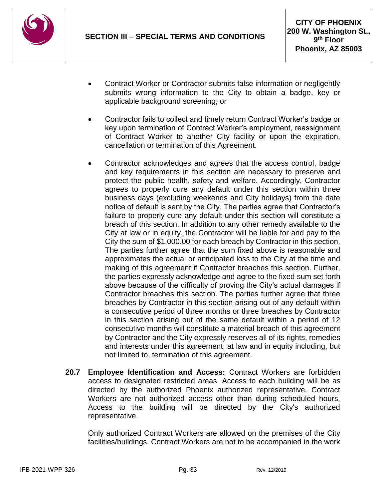

- Contract Worker or Contractor submits false information or negligently submits wrong information to the City to obtain a badge, key or applicable background screening; or
- Contractor fails to collect and timely return Contract Worker's badge or key upon termination of Contract Worker's employment, reassignment of Contract Worker to another City facility or upon the expiration, cancellation or termination of this Agreement.
- Contractor acknowledges and agrees that the access control, badge and key requirements in this section are necessary to preserve and protect the public health, safety and welfare. Accordingly, Contractor agrees to properly cure any default under this section within three business days (excluding weekends and City holidays) from the date notice of default is sent by the City. The parties agree that Contractor's failure to properly cure any default under this section will constitute a breach of this section. In addition to any other remedy available to the City at law or in equity, the Contractor will be liable for and pay to the City the sum of \$1,000.00 for each breach by Contractor in this section. The parties further agree that the sum fixed above is reasonable and approximates the actual or anticipated loss to the City at the time and making of this agreement if Contractor breaches this section. Further, the parties expressly acknowledge and agree to the fixed sum set forth above because of the difficulty of proving the City's actual damages if Contractor breaches this section. The parties further agree that three breaches by Contractor in this section arising out of any default within a consecutive period of three months or three breaches by Contractor in this section arising out of the same default within a period of 12 consecutive months will constitute a material breach of this agreement by Contractor and the City expressly reserves all of its rights, remedies and interests under this agreement, at law and in equity including, but not limited to, termination of this agreement.
- **20.7 Employee Identification and Access:** Contract Workers are forbidden access to designated restricted areas. Access to each building will be as directed by the authorized Phoenix authorized representative. Contract Workers are not authorized access other than during scheduled hours. Access to the building will be directed by the City's authorized representative.

Only authorized Contract Workers are allowed on the premises of the City facilities/buildings. Contract Workers are not to be accompanied in the work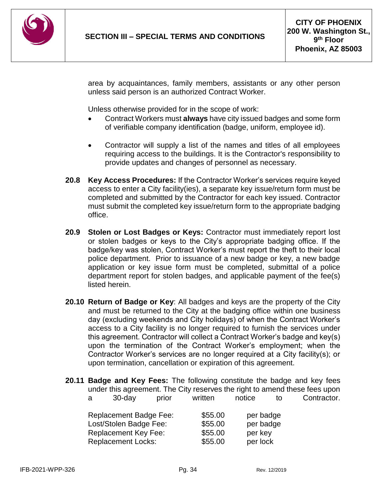

area by acquaintances, family members, assistants or any other person unless said person is an authorized Contract Worker.

Unless otherwise provided for in the scope of work:

- Contract Workers must **always** have city issued badges and some form of verifiable company identification (badge, uniform, employee id).
- Contractor will supply a list of the names and titles of all employees requiring access to the buildings. It is the Contractor's responsibility to provide updates and changes of personnel as necessary.
- **20.8 Key Access Procedures:** If the Contractor Worker's services require keyed access to enter a City facility(ies), a separate key issue/return form must be completed and submitted by the Contractor for each key issued. Contractor must submit the completed key issue/return form to the appropriate badging office.
- **20.9 Stolen or Lost Badges or Keys:** Contractor must immediately report lost or stolen badges or keys to the City's appropriate badging office. If the badge/key was stolen, Contract Worker's must report the theft to their local police department. Prior to issuance of a new badge or key, a new badge application or key issue form must be completed, submittal of a police department report for stolen badges, and applicable payment of the fee(s) listed herein.
- **20.10 Return of Badge or Key**: All badges and keys are the property of the City and must be returned to the City at the badging office within one business day (excluding weekends and City holidays) of when the Contract Worker's access to a City facility is no longer required to furnish the services under this agreement. Contractor will collect a Contract Worker's badge and key(s) upon the termination of the Contract Worker's employment; when the Contractor Worker's services are no longer required at a City facility(s); or upon termination, cancellation or expiration of this agreement.
- **20.11 Badge and Key Fees:** The following constitute the badge and key fees under this agreement. The City reserves the right to amend these fees upon a 30-day prior written notice to Contractor.

| Replacement Badge Fee: | \$55.00 | per badge |
|------------------------|---------|-----------|
| Lost/Stolen Badge Fee: | \$55.00 | per badge |
| Replacement Key Fee:   | \$55.00 | per key   |
| Replacement Locks:     | \$55.00 | per lock  |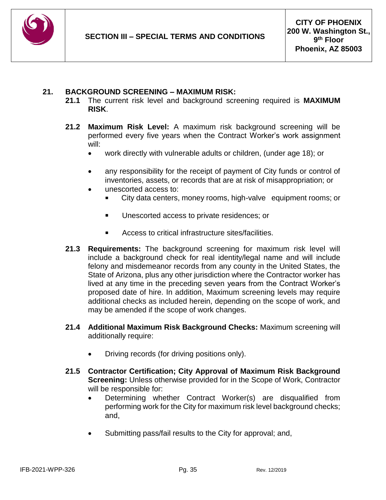

#### **21. BACKGROUND SCREENING – MAXIMUM RISK:**

- **21.1** The current risk level and background screening required is **MAXIMUM RISK**.
- **21.2 Maximum Risk Level:** A maximum risk background screening will be performed every five years when the Contract Worker's work assignment will:
	- work directly with vulnerable adults or children, (under age 18); or
	- any responsibility for the receipt of payment of City funds or control of inventories, assets, or records that are at risk of misappropriation; or
	- unescorted access to:
		- City data centers, money rooms, high-valve equipment rooms; or
		- Unescorted access to private residences; or
		- Access to critical infrastructure sites/facilities.
- **21.3 Requirements:** The background screening for maximum risk level will include a background check for real identity/legal name and will include felony and misdemeanor records from any county in the United States, the State of Arizona, plus any other jurisdiction where the Contractor worker has lived at any time in the preceding seven years from the Contract Worker's proposed date of hire. In addition, Maximum screening levels may require additional checks as included herein, depending on the scope of work, and may be amended if the scope of work changes.
- **21.4 Additional Maximum Risk Background Checks:** Maximum screening will additionally require:
	- Driving records (for driving positions only).
- **21.5 Contractor Certification; City Approval of Maximum Risk Background Screening:** Unless otherwise provided for in the Scope of Work, Contractor will be responsible for:
	- Determining whether Contract Worker(s) are disqualified from performing work for the City for maximum risk level background checks; and,
	- Submitting pass/fail results to the City for approval; and,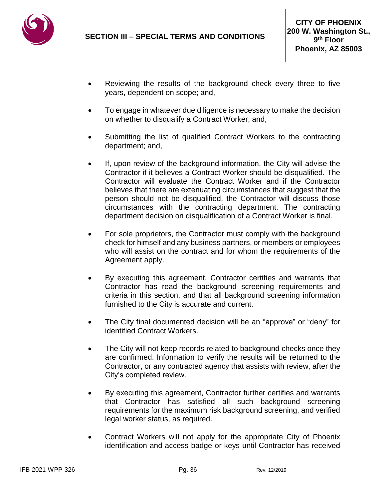

- Reviewing the results of the background check every three to five years, dependent on scope; and,
- To engage in whatever due diligence is necessary to make the decision on whether to disqualify a Contract Worker; and,
- Submitting the list of qualified Contract Workers to the contracting department; and,
- If, upon review of the background information, the City will advise the Contractor if it believes a Contract Worker should be disqualified. The Contractor will evaluate the Contract Worker and if the Contractor believes that there are extenuating circumstances that suggest that the person should not be disqualified, the Contractor will discuss those circumstances with the contracting department. The contracting department decision on disqualification of a Contract Worker is final.
- For sole proprietors, the Contractor must comply with the background check for himself and any business partners, or members or employees who will assist on the contract and for whom the requirements of the Agreement apply.
- By executing this agreement, Contractor certifies and warrants that Contractor has read the background screening requirements and criteria in this section, and that all background screening information furnished to the City is accurate and current.
- The City final documented decision will be an "approve" or "deny" for identified Contract Workers.
- The City will not keep records related to background checks once they are confirmed. Information to verify the results will be returned to the Contractor, or any contracted agency that assists with review, after the City's completed review.
- By executing this agreement, Contractor further certifies and warrants that Contractor has satisfied all such background screening requirements for the maximum risk background screening, and verified legal worker status, as required.
- Contract Workers will not apply for the appropriate City of Phoenix identification and access badge or keys until Contractor has received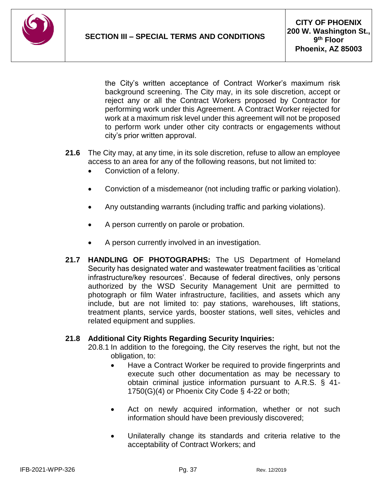

the City's written acceptance of Contract Worker's maximum risk background screening. The City may, in its sole discretion, accept or reject any or all the Contract Workers proposed by Contractor for performing work under this Agreement. A Contract Worker rejected for work at a maximum risk level under this agreement will not be proposed to perform work under other city contracts or engagements without city's prior written approval.

- **21.6** The City may, at any time, in its sole discretion, refuse to allow an employee access to an area for any of the following reasons, but not limited to:
	- Conviction of a felony.
	- Conviction of a misdemeanor (not including traffic or parking violation).
	- Any outstanding warrants (including traffic and parking violations).
	- A person currently on parole or probation.
	- A person currently involved in an investigation.
- **21.7 HANDLING OF PHOTOGRAPHS:** The US Department of Homeland Security has designated water and wastewater treatment facilities as 'critical infrastructure/key resources'. Because of federal directives, only persons authorized by the WSD Security Management Unit are permitted to photograph or film Water infrastructure, facilities, and assets which any include, but are not limited to: pay stations, warehouses, lift stations, treatment plants, service yards, booster stations, well sites, vehicles and related equipment and supplies.

#### **21.8 Additional City Rights Regarding Security Inquiries:**

- 20.8.1 In addition to the foregoing, the City reserves the right, but not the obligation, to:
	- Have a Contract Worker be required to provide fingerprints and execute such other documentation as may be necessary to obtain criminal justice information pursuant to A.R.S. § 41- 1750(G)(4) or Phoenix City Code § 4-22 or both;
	- Act on newly acquired information, whether or not such information should have been previously discovered;
	- Unilaterally change its standards and criteria relative to the acceptability of Contract Workers; and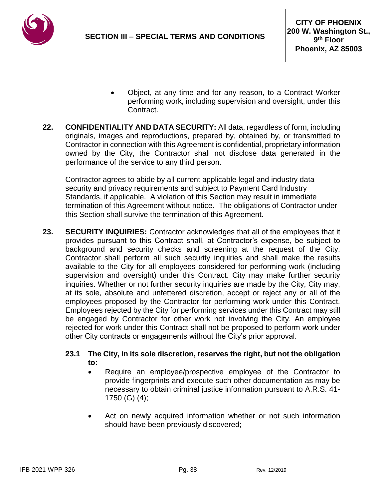

- Object, at any time and for any reason, to a Contract Worker performing work, including supervision and oversight, under this Contract.
- **22. CONFIDENTIALITY AND DATA SECURITY:** All data, regardless of form, including originals, images and reproductions, prepared by, obtained by, or transmitted to Contractor in connection with this Agreement is confidential, proprietary information owned by the City, the Contractor shall not disclose data generated in the performance of the service to any third person.

Contractor agrees to abide by all current applicable legal and industry data security and privacy requirements and subject to Payment Card Industry Standards, if applicable. A violation of this Section may result in immediate termination of this Agreement without notice. The obligations of Contractor under this Section shall survive the termination of this Agreement.

**23. SECURITY INQUIRIES:** Contractor acknowledges that all of the employees that it provides pursuant to this Contract shall, at Contractor's expense, be subject to background and security checks and screening at the request of the City. Contractor shall perform all such security inquiries and shall make the results available to the City for all employees considered for performing work (including supervision and oversight) under this Contract. City may make further security inquiries. Whether or not further security inquiries are made by the City, City may, at its sole, absolute and unfettered discretion, accept or reject any or all of the employees proposed by the Contractor for performing work under this Contract. Employees rejected by the City for performing services under this Contract may still be engaged by Contractor for other work not involving the City. An employee rejected for work under this Contract shall not be proposed to perform work under other City contracts or engagements without the City's prior approval.

#### **23.1 The City, in its sole discretion, reserves the right, but not the obligation to:**

- Require an employee/prospective employee of the Contractor to provide fingerprints and execute such other documentation as may be necessary to obtain criminal justice information pursuant to A.R.S. 41- 1750 (G) (4);
- Act on newly acquired information whether or not such information should have been previously discovered;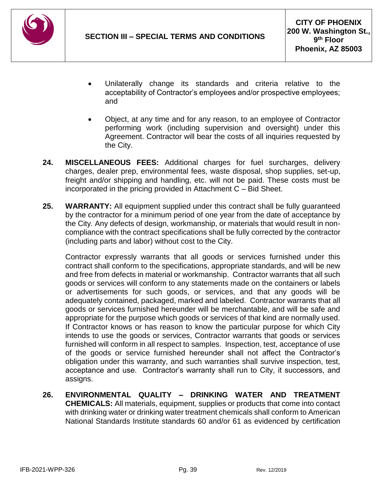

- Unilaterally change its standards and criteria relative to the acceptability of Contractor's employees and/or prospective employees; and
- Object, at any time and for any reason, to an employee of Contractor performing work (including supervision and oversight) under this Agreement. Contractor will bear the costs of all inquiries requested by the City.
- **24. MISCELLANEOUS FEES:** Additional charges for fuel surcharges, delivery charges, dealer prep, environmental fees, waste disposal, shop supplies, set-up, freight and/or shipping and handling, etc. will not be paid. These costs must be incorporated in the pricing provided in Attachment C – Bid Sheet.
- **25. WARRANTY:** All equipment supplied under this contract shall be fully guaranteed by the contractor for a minimum period of one year from the date of acceptance by the City. Any defects of design, workmanship, or materials that would result in noncompliance with the contract specifications shall be fully corrected by the contractor (including parts and labor) without cost to the City.

Contractor expressly warrants that all goods or services furnished under this contract shall conform to the specifications, appropriate standards, and will be new and free from defects in material or workmanship. Contractor warrants that all such goods or services will conform to any statements made on the containers or labels or advertisements for such goods, or services, and that any goods will be adequately contained, packaged, marked and labeled. Contractor warrants that all goods or services furnished hereunder will be merchantable, and will be safe and appropriate for the purpose which goods or services of that kind are normally used. If Contractor knows or has reason to know the particular purpose for which City intends to use the goods or services, Contractor warrants that goods or services furnished will conform in all respect to samples. Inspection, test, acceptance of use of the goods or service furnished hereunder shall not affect the Contractor's obligation under this warranty, and such warranties shall survive inspection, test, acceptance and use. Contractor's warranty shall run to City, it successors, and assigns.

**26. ENVIRONMENTAL QUALITY – DRINKING WATER AND TREATMENT CHEMICALS:** All materials, equipment, supplies or products that come into contact with drinking water or drinking water treatment chemicals shall conform to American National Standards Institute standards 60 and/or 61 as evidenced by certification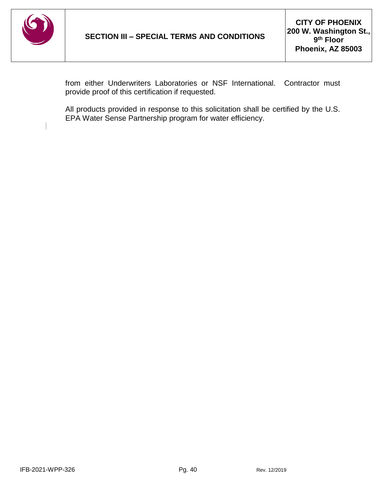

 $\begin{array}{c} \hline \end{array}$ 

from either Underwriters Laboratories or NSF International. Contractor must provide proof of this certification if requested.

All products provided in response to this solicitation shall be certified by the U.S. EPA Water Sense Partnership program for water efficiency.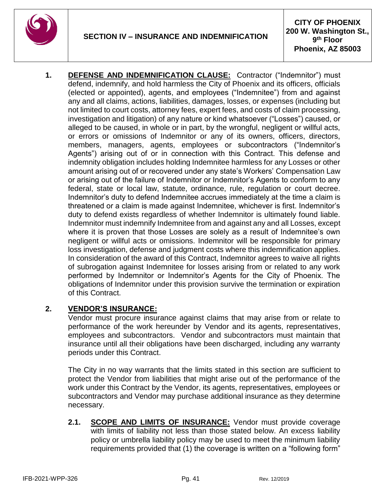

**1. DEFENSE AND INDEMNIFICATION CLAUSE:** Contractor ("Indemnitor") must defend, indemnify, and hold harmless the City of Phoenix and its officers, officials (elected or appointed), agents, and employees ("Indemnitee") from and against any and all claims, actions, liabilities, damages, losses, or expenses (including but not limited to court costs, attorney fees, expert fees, and costs of claim processing, investigation and litigation) of any nature or kind whatsoever ("Losses") caused, or alleged to be caused, in whole or in part, by the wrongful, negligent or willful acts, or errors or omissions of Indemnitor or any of its owners, officers, directors, members, managers, agents, employees or subcontractors ("Indemnitor's Agents") arising out of or in connection with this Contract. This defense and indemnity obligation includes holding Indemnitee harmless for any Losses or other amount arising out of or recovered under any state's Workers' Compensation Law or arising out of the failure of Indemnitor or Indemnitor's Agents to conform to any federal, state or local law, statute, ordinance, rule, regulation or court decree. Indemnitor's duty to defend Indemnitee accrues immediately at the time a claim is threatened or a claim is made against Indemnitee, whichever is first. Indemnitor's duty to defend exists regardless of whether Indemnitor is ultimately found liable. Indemnitor must indemnify Indemnitee from and against any and all Losses, except where it is proven that those Losses are solely as a result of Indemnitee's own negligent or willful acts or omissions. Indemnitor will be responsible for primary loss investigation, defense and judgment costs where this indemnification applies. In consideration of the award of this Contract, Indemnitor agrees to waive all rights of subrogation against Indemnitee for losses arising from or related to any work performed by Indemnitor or Indemnitor's Agents for the City of Phoenix. The obligations of Indemnitor under this provision survive the termination or expiration of this Contract.

## **2. VENDOR'S INSURANCE:**

Vendor must procure insurance against claims that may arise from or relate to performance of the work hereunder by Vendor and its agents, representatives, employees and subcontractors. Vendor and subcontractors must maintain that insurance until all their obligations have been discharged, including any warranty periods under this Contract.

The City in no way warrants that the limits stated in this section are sufficient to protect the Vendor from liabilities that might arise out of the performance of the work under this Contract by the Vendor, its agents, representatives, employees or subcontractors and Vendor may purchase additional insurance as they determine necessary.

**2.1. SCOPE AND LIMITS OF INSURANCE:** Vendor must provide coverage with limits of liability not less than those stated below. An excess liability policy or umbrella liability policy may be used to meet the minimum liability requirements provided that (1) the coverage is written on a "following form"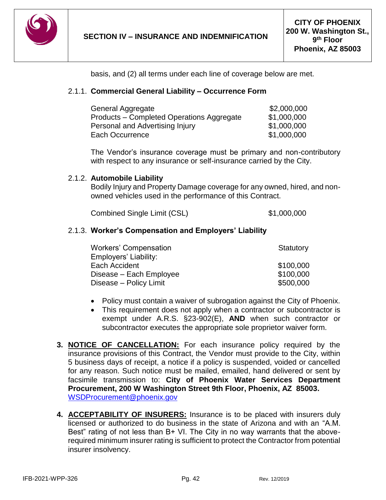

basis, and (2) all terms under each line of coverage below are met.

#### 2.1.1. **Commercial General Liability – Occurrence Form**

| General Aggregate                         | \$2,000,000 |
|-------------------------------------------|-------------|
| Products – Completed Operations Aggregate | \$1,000,000 |
| Personal and Advertising Injury           | \$1,000,000 |
| Each Occurrence                           | \$1,000,000 |

The Vendor's insurance coverage must be primary and non-contributory with respect to any insurance or self-insurance carried by the City.

#### 2.1.2. **Automobile Liability**

Bodily Injury and Property Damage coverage for any owned, hired, and nonowned vehicles used in the performance of this Contract.

Combined Single Limit (CSL) \$1,000,000

#### 2.1.3. **Worker's Compensation and Employers' Liability**

| <b>Workers' Compensation</b> | Statutory |
|------------------------------|-----------|
| Employers' Liability:        |           |
| Each Accident                | \$100,000 |
| Disease - Each Employee      | \$100,000 |
| Disease - Policy Limit       | \$500,000 |

- Policy must contain a waiver of subrogation against the City of Phoenix.
- This requirement does not apply when a contractor or subcontractor is exempt under A.R.S. §23-902(E), **AND** when such contractor or subcontractor executes the appropriate sole proprietor waiver form.
- **3. NOTICE OF CANCELLATION:** For each insurance policy required by the insurance provisions of this Contract, the Vendor must provide to the City, within 5 business days of receipt, a notice if a policy is suspended, voided or cancelled for any reason. Such notice must be mailed, emailed, hand delivered or sent by facsimile transmission to: **City of Phoenix Water Services Department Procurement, 200 W Washington Street 9th Floor, Phoenix, AZ 85003.** WSDProcurement@phoenix.gov
- **4. ACCEPTABILITY OF INSURERS:** Insurance is to be placed with insurers duly licensed or authorized to do business in the state of Arizona and with an "A.M. Best" rating of not less than B+ VI. The City in no way warrants that the aboverequired minimum insurer rating is sufficient to protect the Contractor from potential insurer insolvency.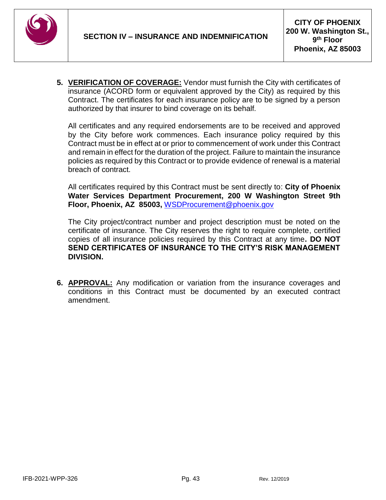

**5. VERIFICATION OF COVERAGE:** Vendor must furnish the City with certificates of insurance (ACORD form or equivalent approved by the City) as required by this Contract. The certificates for each insurance policy are to be signed by a person authorized by that insurer to bind coverage on its behalf*.*

All certificates and any required endorsements are to be received and approved by the City before work commences. Each insurance policy required by this Contract must be in effect at or prior to commencement of work under this Contract and remain in effect for the duration of the project. Failure to maintain the insurance policies as required by this Contract or to provide evidence of renewal is a material breach of contract.

All certificates required by this Contract must be sent directly to: **City of Phoenix Water Services Department Procurement, 200 W Washington Street 9th Floor, Phoenix, AZ 85003,** WSDProcurement@phoenix.gov

The City project/contract number and project description must be noted on the certificate of insurance. The City reserves the right to require complete, certified copies of all insurance policies required by this Contract at any time**. DO NOT SEND CERTIFICATES OF INSURANCE TO THE CITY'S RISK MANAGEMENT DIVISION.**

**6. APPROVAL:** Any modification or variation from the insurance coverages and conditions in this Contract must be documented by an executed contract amendment.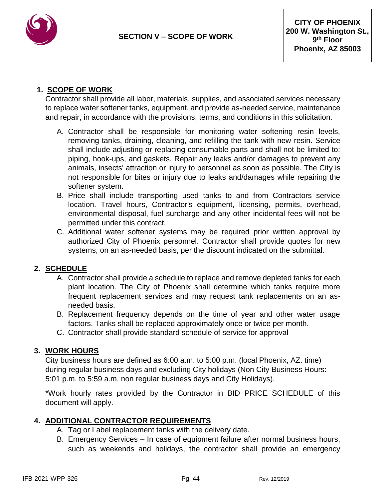

## **1. SCOPE OF WORK**

Contractor shall provide all labor, materials, supplies, and associated services necessary to replace water softener tanks, equipment, and provide as-needed service, maintenance and repair, in accordance with the provisions, terms, and conditions in this solicitation.

- A. Contractor shall be responsible for monitoring water softening resin levels, removing tanks, draining, cleaning, and refilling the tank with new resin. Service shall include adjusting or replacing consumable parts and shall not be limited to: piping, hook-ups, and gaskets. Repair any leaks and/or damages to prevent any animals, insects' attraction or injury to personnel as soon as possible. The City is not responsible for bites or injury due to leaks and/damages while repairing the softener system.
- B. Price shall include transporting used tanks to and from Contractors service location. Travel hours, Contractor's equipment, licensing, permits, overhead, environmental disposal, fuel surcharge and any other incidental fees will not be permitted under this contract.
- C. Additional water softener systems may be required prior written approval by authorized City of Phoenix personnel. Contractor shall provide quotes for new systems, on an as-needed basis, per the discount indicated on the submittal.

## **2. SCHEDULE**

- A. Contractor shall provide a schedule to replace and remove depleted tanks for each plant location. The City of Phoenix shall determine which tanks require more frequent replacement services and may request tank replacements on an asneeded basis.
- B. Replacement frequency depends on the time of year and other water usage factors. Tanks shall be replaced approximately once or twice per month.
- C. Contractor shall provide standard schedule of service for approval

## **3. WORK HOURS**

City business hours are defined as 6:00 a.m. to 5:00 p.m. (local Phoenix, AZ. time) during regular business days and excluding City holidays (Non City Business Hours: 5:01 p.m. to 5:59 a.m. non regular business days and City Holidays).

\*Work hourly rates provided by the Contractor in BID PRICE SCHEDULE of this document will apply.

## **4. ADDITIONAL CONTRACTOR REQUIREMENTS**

- A. Tag or Label replacement tanks with the delivery date.
- B. Emergency Services In case of equipment failure after normal business hours, such as weekends and holidays, the contractor shall provide an emergency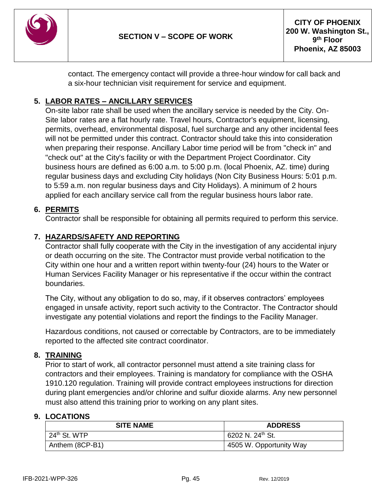

contact. The emergency contact will provide a three-hour window for call back and a six-hour technician visit requirement for service and equipment.

## **5. LABOR RATES – ANCILLARY SERVICES**

On-site labor rate shall be used when the ancillary service is needed by the City. On-Site labor rates are a flat hourly rate. Travel hours, Contractor's equipment, licensing, permits, overhead, environmental disposal, fuel surcharge and any other incidental fees will not be permitted under this contract. Contractor should take this into consideration when preparing their response. Ancillary Labor time period will be from "check in" and "check out" at the City's facility or with the Department Project Coordinator. City business hours are defined as 6:00 a.m. to 5:00 p.m. (local Phoenix, AZ. time) during regular business days and excluding City holidays (Non City Business Hours: 5:01 p.m. to 5:59 a.m. non regular business days and City Holidays). A minimum of 2 hours applied for each ancillary service call from the regular business hours labor rate.

## **6. PERMITS**

Contractor shall be responsible for obtaining all permits required to perform this service.

## **7. HAZARDS/SAFETY AND REPORTING**

Contractor shall fully cooperate with the City in the investigation of any accidental injury or death occurring on the site. The Contractor must provide verbal notification to the City within one hour and a written report within twenty-four (24) hours to the Water or Human Services Facility Manager or his representative if the occur within the contract boundaries.

The City, without any obligation to do so, may, if it observes contractors' employees engaged in unsafe activity, report such activity to the Contractor. The Contractor should investigate any potential violations and report the findings to the Facility Manager.

Hazardous conditions, not caused or correctable by Contractors, are to be immediately reported to the affected site contract coordinator.

## **8. TRAINING**

Prior to start of work, all contractor personnel must attend a site training class for contractors and their employees. Training is mandatory for compliance with the OSHA 1910.120 regulation. Training will provide contract employees instructions for direction during plant emergencies and/or chlorine and sulfur dioxide alarms. Any new personnel must also attend this training prior to working on any plant sites.

#### **9. LOCATIONS**

| <b>SITE NAME</b>         | <b>ADDRESS</b>               |
|--------------------------|------------------------------|
| 24 <sup>th</sup> St. WTP | 6202 N. 24 <sup>th</sup> St. |
| Anthem (8CP-B1)          | 4505 W. Opportunity Way      |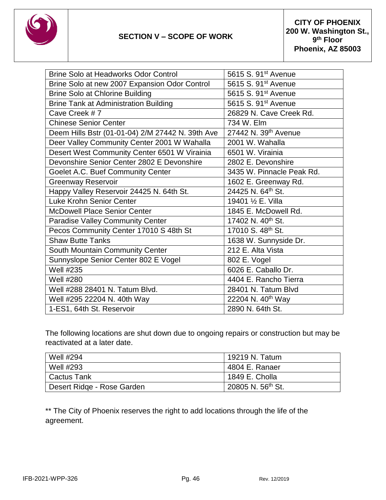

| Brine Solo at Headworks Odor Control             | 5615 S. 91 <sup>st</sup> Avenue  |
|--------------------------------------------------|----------------------------------|
| Brine Solo at new 2007 Expansion Odor Control    | 5615 S. 91 <sup>st</sup> Avenue  |
| <b>Brine Solo at Chlorine Building</b>           | 5615 S. 91 <sup>st</sup> Avenue  |
| <b>Brine Tank at Administration Building</b>     | 5615 S. 91 <sup>st</sup> Avenue  |
| Cave Creek #7                                    | 26829 N. Cave Creek Rd.          |
| <b>Chinese Senior Center</b>                     | 734 W. Elm                       |
| Deem Hills Bstr (01-01-04) 2/M 27442 N. 39th Ave | 27442 N. 39 <sup>th</sup> Avenue |
| Deer Valley Community Center 2001 W Wahalla      | 2001 W. Wahalla                  |
| Desert West Community Center 6501 W Virainia     | 6501 W. Virainia                 |
| Devonshire Senior Center 2802 E Devonshire       | 2802 E. Devonshire               |
| Goelet A.C. Buef Community Center                | 3435 W. Pinnacle Peak Rd.        |
| <b>Greenway Reservoir</b>                        | 1602 E. Greenway Rd.             |
| Happy Valley Reservoir 24425 N. 64th St.         | 24425 N. 64th St.                |
| Luke Krohn Senior Center                         | 19401 1/2 E. Villa               |
| <b>McDowell Place Senior Center</b>              | 1845 E. McDowell Rd.             |
| <b>Paradise Valley Community Center</b>          | 17402 N. 40th St.                |
| Pecos Community Center 17010 S 48th St           | 17010 S. 48th St.                |
| <b>Shaw Butte Tanks</b>                          | 1638 W. Sunnyside Dr.            |
| South Mountain Community Center                  | 212 E. Alta Vista                |
| Sunnyslope Senior Center 802 E Vogel             | 802 E. Vogel                     |
| <b>Well #235</b>                                 | 6026 E. Caballo Dr.              |
| <b>Well #280</b>                                 | 4404 E. Rancho Tierra            |
| Well #288 28401 N. Tatum Blvd.                   | 28401 N. Tatum Blvd              |
| Well #295 22204 N. 40th Way                      | 22204 N. 40 <sup>th</sup> Way    |
| 1-ES1, 64th St. Reservoir                        | 2890 N. 64th St.                 |
|                                                  |                                  |

The following locations are shut down due to ongoing repairs or construction but may be reactivated at a later date.

| <b>Well #294</b>           | 19219 N. Tatum                            |
|----------------------------|-------------------------------------------|
| <b>Well #293</b>           | 4804 E. Ranaer                            |
| <b>Cactus Tank</b>         | $1849$ E. Cholla                          |
| Desert Ridge - Rose Garden | $\frac{1}{20805}$ N. 56 <sup>th</sup> St. |

\*\* The City of Phoenix reserves the right to add locations through the life of the agreement.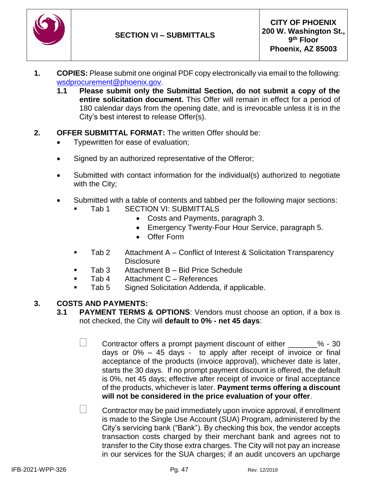

- **1. COPIES:** Please submit one original PDF copy electronically via email to the following: [wsdprocurement@phoenix.gov.](mailto:wsdprocurement@phoenix.gov)
	- **1.1 Please submit only the Submittal Section, do not submit a copy of the entire solicitation document.** This Offer will remain in effect for a period of 180 calendar days from the opening date, and is irrevocable unless it is in the City's best interest to release Offer(s).
- **2. OFFER SUBMITTAL FORMAT:** The written Offer should be:
	- Typewritten for ease of evaluation;
	- Signed by an authorized representative of the Offeror;
	- Submitted with contact information for the individual(s) authorized to negotiate with the City;
	- Submitted with a table of contents and tabbed per the following major sections: Tab 1 SECTION VI: SUBMITTALS
		- Costs and Payments, paragraph 3.
		- Emergency Twenty-Four Hour Service, paragraph 5.
		- Offer Form
		- Tab 2 Attachment A Conflict of Interest & Solicitation Transparency **Disclosure**
		- Tab 3 Attachment B Bid Price Schedule
		- Tab 4 Attachment C References
		- Tab 5 Signed Solicitation Addenda, if applicable.

#### **3. COSTS AND PAYMENTS:**

- **3.1 PAYMENT TERMS & OPTIONS**: Vendors must choose an option, if a box is not checked, the City will **default to 0% - net 45 days**:
	- Contractor offers a prompt payment discount of either  $\%$  30 days or  $0\% - 45$  days - to apply after receipt of invoice or final acceptance of the products (invoice approval), whichever date is later, starts the 30 days. If no prompt payment discount is offered, the default is 0%, net 45 days; effective after receipt of invoice or final acceptance of the products, whichever is later. **Payment terms offering a discount will not be considered in the price evaluation of your offer**.
	- $\Box$  Contractor may be paid immediately upon invoice approval, if enrollment is made to the Single Use Account (SUA) Program, administered by the City's servicing bank ("Bank"). By checking this box, the vendor accepts transaction costs charged by their merchant bank and agrees not to transfer to the City those extra charges. The City will not pay an increase in our services for the SUA charges; if an audit uncovers an upcharge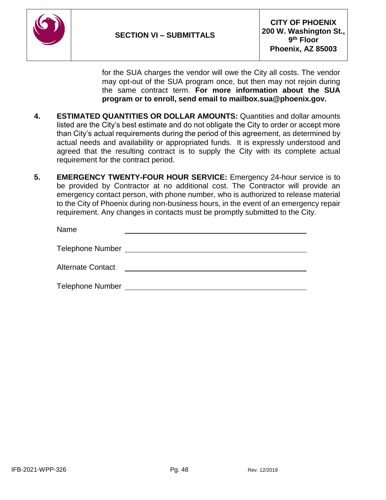

for the SUA charges the vendor will owe the City all costs. The vendor may opt-out of the SUA program once, but then may not rejoin during the same contract term. **For more information about the SUA program or to enroll, send email to mailbox.sua@phoenix.gov.**

- **4. ESTIMATED QUANTITIES OR DOLLAR AMOUNTS:** Quantities and dollar amounts listed are the City's best estimate and do not obligate the City to order or accept more than City's actual requirements during the period of this agreement, as determined by actual needs and availability or appropriated funds. It is expressly understood and agreed that the resulting contract is to supply the City with its complete actual requirement for the contract period.
- **5. EMERGENCY TWENTY-FOUR HOUR SERVICE:** Emergency 24-hour service is to be provided by Contractor at no additional cost. The Contractor will provide an emergency contact person, with phone number, who is authorized to release material to the City of Phoenix during non-business hours, in the event of an emergency repair requirement. Any changes in contacts must be promptly submitted to the City.

| Name                     |  |
|--------------------------|--|
| <b>Telephone Number</b>  |  |
| <b>Alternate Contact</b> |  |
| <b>Telephone Number</b>  |  |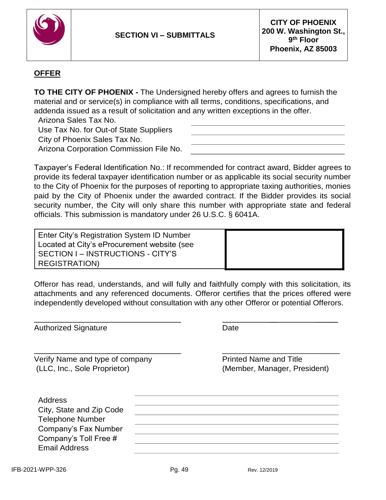

## **OFFER**

**TO THE CITY OF PHOENIX -** The Undersigned hereby offers and agrees to furnish the material and or service(s) in compliance with all terms, conditions, specifications, and addenda issued as a result of solicitation and any written exceptions in the offer.

Arizona Sales Tax No.

Use Tax No. for Out-of State Suppliers City of Phoenix Sales Tax No. Arizona Corporation Commission File No.

Taxpayer's Federal Identification No.: If recommended for contract award, Bidder agrees to provide its federal taxpayer identification number or as applicable its social security number to the City of Phoenix for the purposes of reporting to appropriate taxing authorities, monies paid by the City of Phoenix under the awarded contract. If the Bidder provides its social security number, the City will only share this number with appropriate state and federal officials. This submission is mandatory under 26 U.S.C. § 6041A.

Enter City's Registration System ID Number Located at City's eProcurement website (see SECTION I – INSTRUCTIONS - CITY'S REGISTRATION)

Offeror has read, understands, and will fully and faithfully comply with this solicitation, its attachments and any referenced documents. Offeror certifies that the prices offered were independently developed without consultation with any other Offeror or potential Offerors.

| <b>Authorized Signature</b>                                                                                                             | Date                                                          |
|-----------------------------------------------------------------------------------------------------------------------------------------|---------------------------------------------------------------|
| Verify Name and type of company<br>(LLC, Inc., Sole Proprietor)                                                                         | <b>Printed Name and Title</b><br>(Member, Manager, President) |
| Address<br>City, State and Zip Code<br><b>Telephone Number</b><br>Company's Fax Number<br>Company's Toll Free #<br><b>Email Address</b> |                                                               |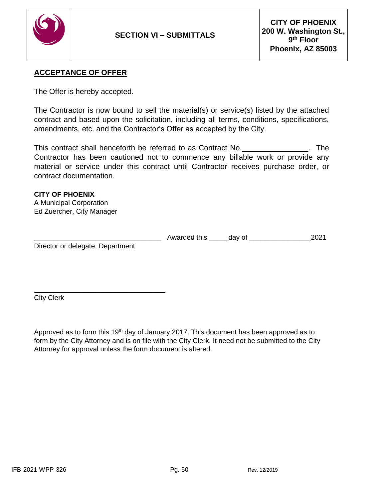

## **ACCEPTANCE OF OFFER**

The Offer is hereby accepted.

The Contractor is now bound to sell the material(s) or service(s) listed by the attached contract and based upon the solicitation, including all terms, conditions, specifications, amendments, etc. and the Contractor's Offer as accepted by the City.

This contract shall henceforth be referred to as Contract No. <u>Nethelmann State International</u>. The Contractor has been cautioned not to commence any billable work or provide any material or service under this contract until Contractor receives purchase order, or contract documentation.

# **CITY OF PHOENIX**

A Municipal Corporation Ed Zuercher, City Manager

 $\overline{\phantom{a}}$  , and the contract of the contract of the contract of the contract of the contract of the contract of the contract of the contract of the contract of the contract of the contract of the contract of the contrac

|                                  | Awarded this | dav of |  |
|----------------------------------|--------------|--------|--|
| Director or delegate, Department |              |        |  |

City Clerk

Approved as to form this 19<sup>th</sup> day of January 2017. This document has been approved as to form by the City Attorney and is on file with the City Clerk. It need not be submitted to the City Attorney for approval unless the form document is altered.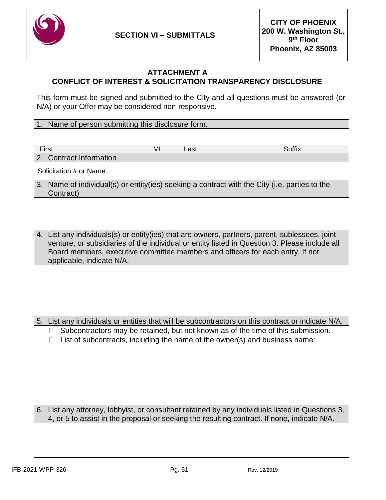

#### **ATTACHMENT A CONFLICT OF INTEREST & SOLICITATION TRANSPARENCY DISCLOSURE**

This form must be signed and submitted to the City and all questions must be answered (or N/A) or your Offer may be considered non-responsive.

1. Name of person submitting this disclosure form.

First **MI** Last Suffix

2. Contract Information

Solicitation # or Name:

- 3. Name of individual(s) or entity(ies) seeking a contract with the City (i.e. parties to the Contract)
- 4. List any individuals(s) or entity(ies) that are owners, partners, parent, sublessees, joint venture, or subsidiaries of the individual or entity listed in Question 3. Please include all Board members, executive committee members and officers for each entry. If not applicable, indicate N/A.

5. List any individuals or entities that will be subcontractors on this contract or indicate N/A.

 $\Box$  Subcontractors may be retained, but not known as of the time of this submission.  $\Box$  List of subcontracts, including the name of the owner(s) and business name:

6. List any attorney, lobbyist, or consultant retained by any individuals listed in Questions 3, 4, or 5 to assist in the proposal or seeking the resulting contract. If none, indicate N/A.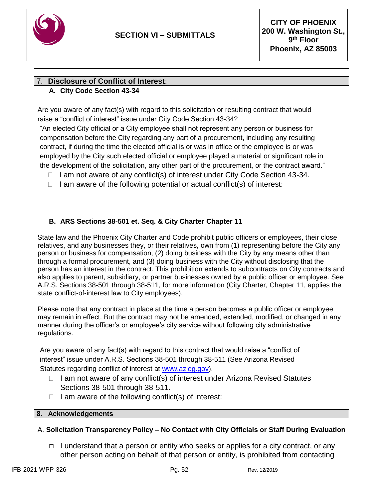

## 7. **Disclosure of Conflict of Interest**:

## **A. City Code Section 43-34**

Are you aware of any fact(s) with regard to this solicitation or resulting contract that would raise a "conflict of interest" issue under City Code Section 43-34?

"An elected City official or a City employee shall not represent any person or business for compensation before the City regarding any part of a procurement, including any resulting contract, if during the time the elected official is or was in office or the employee is or was employed by the City such elected official or employee played a material or significant role in the development of the solicitation, any other part of the procurement, or the contract award."

- $\Box$  I am not aware of any conflict(s) of interest under City Code Section 43-34.
- $\Box$  I am aware of the following potential or actual conflict(s) of interest:

## **B. ARS Sections 38-501 et. Seq. & City Charter Chapter 11**

State law and the Phoenix City Charter and Code prohibit public officers or employees, their close relatives, and any businesses they, or their relatives, own from (1) representing before the City any person or business for compensation, (2) doing business with the City by any means other than through a formal procurement, and (3) doing business with the City without disclosing that the person has an interest in the contract. This prohibition extends to subcontracts on City contracts and also applies to parent, subsidiary, or partner businesses owned by a public officer or employee. See A.R.S. Sections 38-501 through 38-511, for more information (City Charter, Chapter 11, applies the state conflict-of-interest law to City employees).

Please note that any contract in place at the time a person becomes a public officer or employee may remain in effect. But the contract may not be amended, extended, modified, or changed in any manner during the officer's or employee's city service without following city administrative regulations.

Are you aware of any fact(s) with regard to this contract that would raise a "conflict of interest" issue under A.R.S. Sections 38-501 through 38-511 (See Arizona Revised Statutes regarding conflict of interest at [www.azleg.gov\)](http://www.azleg.gov/).

- $\Box$  I am not aware of any conflict(s) of interest under Arizona Revised Statutes Sections 38-501 through 38-511.
- $\Box$  I am aware of the following conflict(s) of interest:

#### **8. Acknowledgements**

A. **Solicitation Transparency Policy – No Contact with City Officials or Staff During Evaluation**

I understand that a person or entity who seeks or applies for a city contract, or any other person acting on behalf of that person or entity, is prohibited from contacting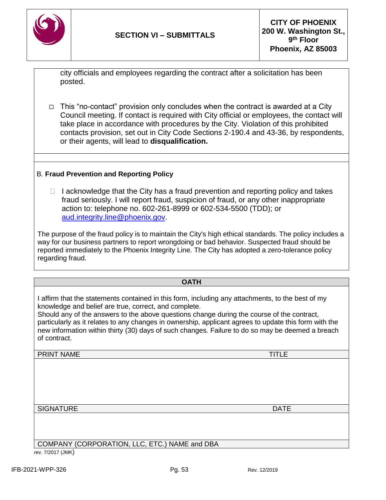

city officials and employees regarding the contract after a solicitation has been posted.

 $\Box$  This "no-contact" provision only concludes when the contract is awarded at a City Council meeting. If contact is required with City official or employees, the contact will take place in accordance with procedures by the City. Violation of this prohibited contacts provision, set out in City Code Sections 2-190.4 and 43-36, by respondents, or their agents, will lead to **disqualification.**

## B. **Fraud Prevention and Reporting Policy**

 $\Box$  I acknowledge that the City has a fraud prevention and reporting policy and takes fraud seriously. I will report fraud, suspicion of fraud, or any other inappropriate action to: telephone no. 602-261-8999 or 602-534-5500 (TDD); or [aud.integrity.line@phoenix.gov.](mailto:aud.integrity.line@phoenix.gov)

The purpose of the fraud policy is to maintain the City's high ethical standards. The policy includes a way for our business partners to report wrongdoing or bad behavior. Suspected fraud should be reported immediately to the Phoenix Integrity Line. The City has adopted a zero-tolerance policy regarding fraud.

#### **OATH**

I affirm that the statements contained in this form, including any attachments, to the best of my knowledge and belief are true, correct, and complete.

Should any of the answers to the above questions change during the course of the contract, particularly as it relates to any changes in ownership, applicant agrees to update this form with the new information within thirty (30) days of such changes. Failure to do so may be deemed a breach of contract.

PRINT NAME TITLE

SIGNATURE **DATE** 

COMPANY (CORPORATION, LLC, ETC.) NAME and DBA

rev. 7/2017 (JMK)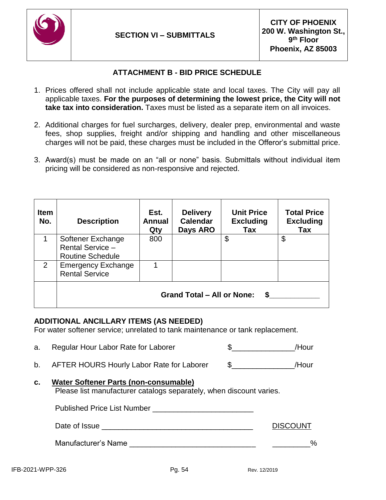

## **ATTACHMENT B - BID PRICE SCHEDULE**

- 1. Prices offered shall not include applicable state and local taxes. The City will pay all applicable taxes. **For the purposes of determining the lowest price, the City will not take tax into consideration.** Taxes must be listed as a separate item on all invoices.
- 2. Additional charges for fuel surcharges, delivery, dealer prep, environmental and waste fees, shop supplies, freight and/or shipping and handling and other miscellaneous charges will not be paid, these charges must be included in the Offeror's submittal price.
- 3. Award(s) must be made on an "all or none" basis. Submittals without individual item pricing will be considered as non-responsive and rejected.

| <b>Item</b><br>No. | <b>Description</b>                                               | Est.<br><b>Annual</b><br>Qty | <b>Delivery</b><br><b>Calendar</b><br>Days ARO | <b>Unit Price</b><br><b>Excluding</b><br>Tax | <b>Total Price</b><br><b>Excluding</b><br>Tax |
|--------------------|------------------------------------------------------------------|------------------------------|------------------------------------------------|----------------------------------------------|-----------------------------------------------|
| 1                  | Softener Exchange<br>Rental Service -<br><b>Routine Schedule</b> | 800                          |                                                | \$                                           | \$                                            |
| $\overline{2}$     | <b>Emergency Exchange</b><br><b>Rental Service</b>               |                              |                                                |                                              |                                               |
|                    | <b>Grand Total - All or None:</b><br>S                           |                              |                                                |                                              |                                               |

## **ADDITIONAL ANCILLARY ITEMS (AS NEEDED)**

For water softener service; unrelated to tank maintenance or tank replacement.

- a. Regular Hour Labor Rate for Laborer  $\sim$  \$ /Hour b. AFTER HOURS Hourly Labor Rate for Laborer \$ /Hour
- **c. Water Softener Parts (non-consumable)** Please list manufacturer catalogs separately, when discount varies.

Published Price List Number **Example 20** 

Date of Issue \_\_\_\_\_\_\_\_\_\_\_\_\_\_\_\_\_\_\_\_\_\_\_\_\_\_\_\_\_\_\_\_\_\_\_\_ DISCOUNT

Manufacturer's Name \_\_\_\_\_\_\_\_\_\_\_\_\_\_\_\_\_\_\_\_\_\_\_\_\_\_\_\_\_\_ \_\_\_\_\_\_\_\_\_%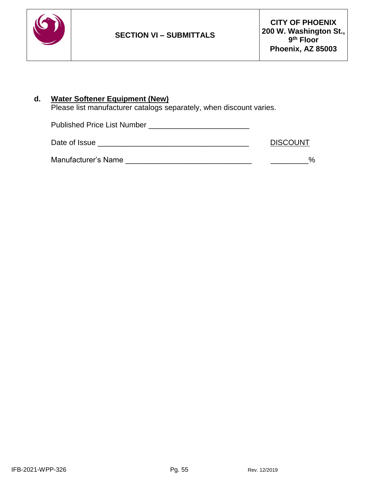

## **d. Water Softener Equipment (New)**

Please list manufacturer catalogs separately, when discount varies.

Published Price List Number \_\_\_\_\_\_\_\_\_\_\_\_\_\_\_\_\_\_\_\_\_\_\_\_

| Date of Issue | <b>DISCOUNT</b> |
|---------------|-----------------|
|---------------|-----------------|

| <b>Manufacturer's Name</b> |  |  |
|----------------------------|--|--|
|----------------------------|--|--|